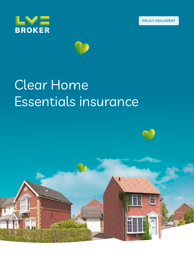**POLICY DOCUMENT** 

٦I



T

T<br>Je  $\overline{\mathbb{T}}$ 



# Clear Home Essentials insurance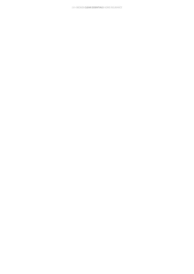LV= BROKER **CLEAR ESSENTIALS** HOME INSURANCE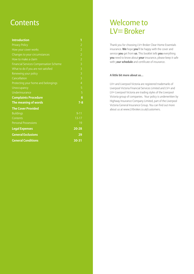## **Contents**

| <b>Introduction</b>                           | 1               |
|-----------------------------------------------|-----------------|
| <b>Privacy Policy</b>                         | $\overline{2}$  |
| How your cover works                          | $\overline{2}$  |
| Changes to your circumstances                 | $\overline{2}$  |
| How to make a claim                           | $\overline{2}$  |
| <b>Financial Services Compensation Scheme</b> | $\overline{3}$  |
| What to do if you are not satisfied           | 3               |
| Renewing your policy                          | $\overline{3}$  |
| Cancellation                                  | $\overline{3}$  |
| Protecting your home and belongings           | $\overline{4}$  |
| Unoccupancy                                   | 5               |
| Underinsurance                                | 5               |
| <b>Complaints Procedure</b>                   | 6               |
| The meaning of words                          | $7 - 8$         |
| <b>The Cover Provided</b>                     |                 |
| <b>Buildings</b>                              | $9 - 11$        |
| Contents                                      | $13 - 17$       |
| <b>Personal Possessions</b>                   | 19              |
| <b>Legal Expenses</b>                         | 20-28           |
| <b>General Exclusions</b>                     | $\overline{29}$ |
| <b>General Conditions</b>                     | 30-31           |

## Welcome to LV= Broker

Thank you for choosing LV= Broker Clear Home Essentials insurance. **We** hope **you**'ll be happy with the cover and service **you** get from **us**. This booklet tells **you** everything **you** need to know about **your** insurance, please keep it safe with y**our schedule** and certificate of insurance.

#### **A little bit more about us…**

LV= and Liverpool Victoria are registered trademarks of Liverpool Victoria Financial Services Limited and LV= and LV= Liverpool Victoria are trading styles of the Liverpool Victoria group of companies. Your policy is underwritten by Highway Insurance Company Limited, part of the Liverpool Victoria General Insurance Group. You can find out more about us at www.LVbroker.co.uk/customers.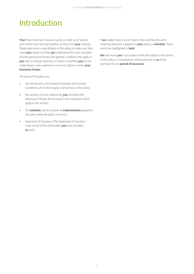## <span id="page-3-0"></span>**Introduction**

**Your** Clear Essentials insurance policy is made up of several parts which must be read together as they form **your** contract. Please take time to read all parts of this policy to make sure they meet **your** needs, and that **you** understand the cover provided, and the general exclusions and general conditions that apply. If **you** wish to change anything or if there is anything **you** do not understand, or any statement is incorrect, please contact **your insurance broker**.

The parts of the policy are:

- this Introduction; the General Exclusions and General Conditions, all of which apply to all sections of the policy;
- the sections of cover selected by **you**, including the Meaning of Words, the Exclusions and Conditions which apply to the section;
- the **schedule**, which includes all **endorsements** applied to the policy while the policy is in force;
- Statement of Insurance (The Statement of Insurance is the record of the information **you** have provided **us** with).

If **we** explain what a word means, that word has the same meaning wherever it appears in **your** policy or **schedule**. These words are highlighted in **bold**.

**We** will insure **you** in accordance with and subject to the terms of this policy, in consideration of the payment to **us** of the premium for the **period of insurance**.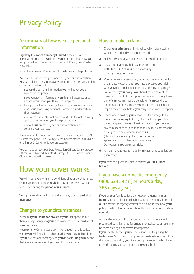## Privacy Policy

## A summary of how we use personal information

**Highway Insurance Company Limited** is the controller of personal information. **We**'ll keep **you** informed about how **we** use personal information in the document 'Privacy Policy', which is available:

• online at www.LVbroker.co.uk/customers/data-protection

**You** have a number of rights concerning personal information. **You** can ask for a person to *review* an automated decision, and in certain circumstances to:

- *access* the personal information **we** hold about **you** or anyone on the policy.
- *correct* personal information **you** think is inaccurate or to update information **you** think is incomplete.
- have personal information *deleted* in certain circumstances.
- *restrict* **us** processing personal information, under certain circumstances.
- receive personal information in a *portable* format. This only applies to information **you** have provided to **us**.
- *object* to **us** processing personal information, under certain circumstances.

If **you** want to find out more or exercise these rights, contact GI Customer Support, LV=, County Gates, Bournemouth, BH1 2NF or email **us** at GICustomerSupport@LV.co.uk

**You** can also contact **our** Data Protection Officer: Data Protection Officer, 57 Ladymead, Guildford, Surrey, GU1 1DB, or via email at GIdataprotection@LV.co.uk

## How your cover works

**We** will insure **you** within the conditions of **your** policy for those sections named in the **schedule** for any insured Event which takes place during the **period of insurance.**

**Your** policy ends at midnight on the last day of each **period of insurance**.

### <span id="page-4-0"></span>Changes to your circumstances

Please tell **your insurance broker** at **your** first opportunity if there are any changes to **your** circumstances which could affect **your** insurance.

Please refer to General Condition 11 on page 31 of this policy, where **you** will find a list of changes that **you** must tell **us** about. If **your** circumstances change and **you** do not tell **us**, **you** may find that **you** are not covered if **you** need to make a claim.

### How to make a claim

- **1** Check **your schedule** and this policy, which give details of what is covered and what is not covered.
- **2** Follow the General Conditions on page 30 of this policy.
- **3** Please ring **our** Household Claims Centre on **0800 681 6367** at **your** first opportunity . to notify us of **your** claim.
- **4 You** can make any temporary repairs to prevent further loss or damage. However, until **you** have discussed **your** claim with **us we** are unable to confirm that the loss or damage is covered by **your** policy. **You** should keep a copy of the invoices relating to the temporary repairs as they may form part of **your** claim. It would be helpful if **you** could take photographs of the damage. **We** must have the chance to inspect the damage before **you** carry out permanent repairs.
- **5** If someone is holding **you** responsible for damage to their property or for **injury** to them, please tell **us** at **your** first opportunity and give **us** full written details. If **you** receive any correspondence in relation to the claim, do not respond directly to it, please forward it on to **us** (This could include any claim form, summons to appear in court or other legal document). Do not admit **you** are responsible.
- **6** Any permanent repairs made by **our** approved suppliers are guaranteed.

If **you** have any questions, please contact **your Insurance broker**.

## If you have a domestic emergency 0800 633 5423 (24 hours a day, 365 days a year)

If **you** or **your** family suffer a domestic emergency in **your home**, such as a blocked toilet, hot water or heating failure, call **our** Domestic Emergency Assistance helpline. Please have **your** policy details and information about the emergency ready when **you** call.

A trained operator will be on hand to help and advise **you**. If required, they will arrange for emergency assistance or repairs to be completed by an approved tradesperson.

If **you** use this service, **you** will be responsible for paying the tradesperson's charges and any costs of materials incurred. If the damage is covered by **your** insurance policy **you** may be able to claim these costs as part of any claim **you** submit.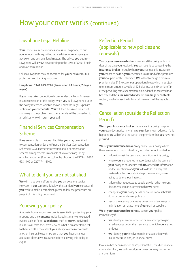## <span id="page-5-0"></span>How your cover works (continued)

## Lawphone Legal Helpline

**Your** Home Insurance includes access to Lawphone, to put **you** in touch with a qualified legal adviser who can give **you** advice on any personal legal matter. The advice **you** get from Lawphone will always be according to the Laws of Great Britain and Northern Ireland.

Calls to Lawphone may be recorded for **your** and **our** mutual protection and training purposes.

#### **Lawphone: 0344 873 0246 (Lines open 24 hours, 7 days a week)**

If **you** have taken out optional cover under the Legal Expenses Insurance section of this policy, when **you** call Lawphone quote the policy reference which is shown under the Legal Expenses section on **your schedule**. **You** will then be asked for a brief summary of the problem and these details will be passed on to an advisor who will return **your** call.

## Financial Services Compensation Scheme

If **we** are unable to meet **our** liabilities **you** may be entitled to compensation under the Financial Services Compensation Scheme (FSCS). Further information about compensation scheme arrangements is available at www.fscs.org.uk, by emailing enquiries@fscs.org.uk or by phoning the FSCS on 0800 678 1100 or 0207 741 4100.

## <span id="page-5-1"></span>What to do if you are not satisfied

**We** will make every effort to give **you** an excellent service. However, if **our** service falls below the standard **you** expect, and **you** wish to make a complaint, please follow the procedure on page 9 of this policy document..

## Renewing your policy

Adequate home insurance cover is essential in protecting **your** property and the **contents** inside it against many unexpected events such as flood, **subsidence**, theft or **storm**. Individual insurers will form their own view on what is an acceptable risk to them and this may affect **your** ability to obtain cover with another insurer. Please make sure that **you** have arranged adequate alternative insurance before allowing this policy to expire.

## Reflection Period (applicable to new policies and renewals)

**You** or **your Insurance broker** may cancel this policy within 14 days of the date **you** receive it. **You** can do this by contacting the **Insurance broker** through whom **you** arranged this Insurance. If **you** choose to do this, **you** are entitled to a refund of the premium **you** have paid for this insurance. **We** will only charge a pro-rata premium plus £15 to cover **our** operational costs which is subject to minimum amount payable of £25 plus Insurance Premium Tax at the prevailing rate, except where an incident has occurred that has reached the **sum insured** under the **buildings** or **contents** section, in which case the full annual premium will be payable to **us**.

## <span id="page-5-2"></span>Cancellation (outside the Reflection Period)

**We** or **your Insurance broker** may cancel this policy by giving **you** seven days notice in writing to **your** last known address. If this happens **we** will refund the part of the premium that **you** have not yet used.

**We** or **your Insurance broker** may cancel your policy where there are serious grounds to do so, includes but not limited to:

- **•** failure to meet the terms and conditions of this policy;
- **•** where **you** are required in accordance with the terms of **your** policy to co-operate with **us,** or send **us** information or documentation and **you** fail to do so in a way that materially affects **our** ability to process a claim, or **our** ability to defend **our** interests;
- **•** failure when requested to supply **us** with other relevant documentation or information that **we** need;
- **•** changes to **your** policy details or circumstances that **we** do not cover under **our** policy; or
- **•** use of threatening or abusive behaviour or language, or intimidation or harassment of **our** staff or suppliers.

**We** or **your Insurance broker** may cancel **your** policy immediately if:

- **• we** identify misrepresentation or any attempt to gain an advantage under this insurance to which **you** are not entitled;
- **• we** identify **your** involvement in or association with insurance fraud and/or financial crime.

If a claim has been made or misrepresentation, fraud or financial crime identified, **we** will cancel **your** cover but may not refund any premium.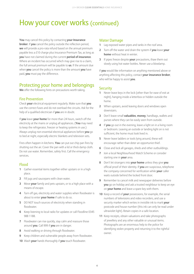## How your cover works (continued)

**You** may cancel this policy by contacting **your Insurance broker**. If **you** cancel the policy outside the reflection period, **we** will provide a pro-rata refund based on the annual premium payable less a £10 charge plus Insurance Premium Tax, as long as **you** have not claimed during the current **period of insurance**. Where an incident has occurred which may give rise to a claim, the full annual premium will be payable to **us**. If the amount due when **you** cancel the policy is more than the amount **you** have paid, **you** must pay the difference.

## <span id="page-6-0"></span>Protecting your home and belongings

**We** offer the following hints on precautions worth taking.

#### Fire Prevention

Check **your** electrical equipment regularly. Make sure that **you** use the correct fuses and do not overload the circuits. Ask for the help of a qualified electrician if **you** are in doubt.

If **you** leave **your home** for more than 24 hours, switch off the electricity at the mains or unplug all appliances. (**You** may need to keep the refrigerator, freezer or heating systems in use.) Always unplug non-essential electrical appliances before **you** go to bed at night, especially electric blankets and television sets.

Fires often happen in kitchens. **You** can put out chip pan fires by shutting out the air. Cover the pan with a lid or thick damp cloth. Do not use water. Remember, safety first. Call the emergency services.

#### Flood

- **1** Gather essential items together either upstairs or in a high place.
- **2** Fill jugs and saucepans with clean water.
- **3** Move **your** family and pets upstairs, or to a high place with a means of escape.
- **4** Turn off gas, electricity and water supplies when floodwater is about to enter **your home** if safe to do so.
- **5** DO NOT touch sources of electricity when standing in floodwater.
- **6** Keep listening to local radio for updates or call Floodline 0345 988 1188.
- **7** Floodwater can rise quickly, stay calm and reassure those around **you**. Call 999 if **you** are in danger.
- **8** Avoid walking or driving through floodwater.
- **9** Keep children and vulnerable people away from floodwater.
- **10** Wash **your** hands thoroughly if **you** touch floodwater.

#### Water Damage

- **1** Lag exposed water pipes and tanks in the roof area.
- **2** Turn off the water and drain the system if **you** leave **your home** without heat in winter.
- **3** If pipes freeze despite **your** precautions, thaw them out slowly using hot water bottles. Never use a blowlamp.

If **you** would like information on anything mentioned above or anything affecting this policy, contact **your insurance broker**, who will be happy to assist **you**.

#### **Security**

- **1** Never leave keys in the lock (other than for ease of exit at night), hanging inside a letterbox or hidden outside the home.
- **2** When upstairs, avoid leaving doors and windows open downstairs.
- **3** Don't leave small **valuables**, **money**, handbags, wallets and purses where they can be easily seen from outside.
- **4** If **you** go out in the evening, leave a light on in a living room or bedroom. Leaving an outside or landing light on is not sufficient, the home must look lived in.
- **5** Never leave ladders or tools lying around, these will encourage rather than deter an opportunist thief.
- **6** Close and lock all garages, sheds and other outbuildings.
- **7** Join a local Neighbourhood Watch Scheme or consider starting one in **your** area.
- **8** Don't let strangers into **your home** unless they give **you** official proof of their identity. If **you** are suspicious, telephone the company concerned for verification while **your** caller waits outside behind the locked front door.
- **9** Remember to cancel milk and newspaper deliveries before **you** go on holiday and ask a trusted neighbour to keep an eye on **your home** and leave a spare key with them.
- **10** Keep a record of **your** possessions, for example, the serial numbers of televisions and video recorders, and use a security marker which writes in invisible ink to mark **your** postcode and house number (this ink can only be read under ultraviolet light). Retain copies in a safe location.
- **11** Keep receipts, obtain valuations and take photographs of jewellery and any other valuable or unusual items. Photographs are an enormous help to the police for identifying stolen property and returning it to the rightful owner.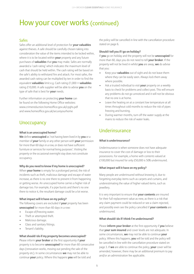## How your cover works (continued)

#### Safes

Safes offer an additional level of protection for **your valuables** against thieves. A safe should be carefully chosen taking into consideration the value of the items intended to be locked within, where it is to be located within **your** property and any future purchases of **valuables** that **you** may make. Safes are normally awarded a 'cash rating' which indicates the maximum level of cash that should be held within. The cash rating will be based on the safe's ability to withstand fire and attack. For most safes, the awarded cash rating can be multiplied by ten in order to find the equivalent **valuables** limit e.g. Cash rating £1,000 = **valuables** rating £10,000. A safe supplier will be able to advise **you** on the type of safe that is best for **your** needs.

Further information on protecting **your home** can be found on the following Home Office websites: www.crimereduction.homeoffice.gov.uk/cpghs.pdf and www.homeoffice.gov.uk/secureyourhome

### <span id="page-7-0"></span>**Unoccupancy**

#### **What is an unoccupied home?**

**We** define **unoccupied** as 'not having been lived in by **you** or a member of **your** family or any other person with **your** permission for more than 60 days in a row, or does not have sufficient furniture or services for normal living purposes'. Visiting the property or the occasional overnight stay does not constitute occupancy.

#### **Why do you need to know if my home is unoccupied?**

When **your home** is empty for a prolonged period, the risk of incidents such as theft, malicious damage and escape of water increase, as there is no one there to prevent it from happening or getting worse. An unoccupied home carries a higher risk of damage too. For example, if a pipe bursts and there's no one there to notice it, the resultant damage could be a lot worse.

#### **What impact will it have on my policy?**

The following covers are excluded if **your** property has been **unoccupied** for more than 60 days in a row:

- Escape of/freezing water.
- Theft or attempted theft.
- Malicious damage.
- Glass and sanitary fittings.
- Tenant's liability.

#### **What should I do if my property becomes unoccupied?**

Please inform **your broker** at the first opportunity if **your** property is to become **unoccupied** for more than 60 consecutive days (renovation works, moving out pending the sale of the property etc). In some circumstances **we** may not be able to continue **your** policy. Where this happens **you** will be told and

the policy will be cancelled in line with the cancellation procedure stated on page 6.

#### **Should I tell you if I go on holiday?**

If **you** go on holiday and the property will not be **unoccupied** for more than 60, days you do not need to tell **your broker**. If the property will not be lived in whilst **you** are away, **we** do advise that you:

- Keep your **valuables** out of sight and do not leave them where they can be easily seen. Always lock them away where possible.
- Ask a trusted individual to visit **your** property on a weekly basis to check for problems and collect post. This will ensure any problems do not go unnoticed and it will not be obvious that no one is at home.
- Leave the heating on at a constant low temperature at all times throughout cold months to reduce the risk of pipes freezing and bursting.
- During warmer months, turn off the water supply at the mains to reduce the risk of water leaks.

### <span id="page-7-1"></span>Underinsurance

#### **What is underinsurance?**

Underinsurance is when someone does not have adequate insurance to cover the cost of damage or loss to their possessions. For example, a home with contents valued at £100,000 but insured for only £50,000 is 50% underinsured.

#### **What impact will it have on my policy?**

Many people are underinsured without knowing it, due to forgetting everyday items such as carpets and curtains, and underestimating the value of higher valued items, such as jewellery.

It is very important to ensure that **your contents** are insured for their full replacement value as new, as there is a risk that any claim payment could be reduced or see a claim rejected, and possibly even see the policy cancelled if **your contents** are underinsured.

#### **What should I do if I think I'm underinsured?**

Please **inform your broker** at the first opportunity if **you** believe that **your sum insured** and cover levels are not adequate. In some circumstances, **we** may not be able to continue **your** policy. Where this happens, **you** will be told and the policy will be cancelled in line with the cancellation procedure stated on page 3. If **we** are able to continue the policy, **your** cover will be amended, however, there may be an additional premium to pay and/or an administration fee applicable.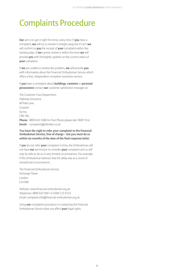## <span id="page-8-0"></span>Complaints Procedure

**Our** aim is to get it right first time, every time. If **you** have a complaint, **we** will try to resolve it straight away but if can't **we** will confirm to **you** the receipt of **your** complaint within five working days. If **we** cannot resolve it within this time **we** will provide **you** with fortnightly updates on the current status of **your** complaint..

If **we** are unable to resolve the problem, **we** will provide **you** with information about the Financial Ombudsman Service which offers a free, independent complaint resolution service.

If **you** have a complaint about **buildings**, **contents** or **personal possessions** contact **our** customer satisfaction manager at:

The Customer Care Department Highway Insurance 69 Park Lane Croydon Surrey CR9 1BG **Phone**: 0800 633 5386 For Text Phone please dial 18001 first. **Email:** complaints@lvbroker.co.uk

#### **You have the right to refer your complaint to the Financial Ombudsman Service, free of charge – but you must do so within six months of the date of the final response letter.**

If **you** do not refer **your** complaint in time, the Ombudsman will not have **our** permission to consider **your** complaint and so will only be able to do so in very limited circumstances. For example, if the Ombudsman believes that the delay was as a result of exceptional circumstances.

The Financial Ombudsman Service Exchange Tower London E14 9SR

Website: www.financial-ombudsman.org.uk Telephone: 0800 023 4567 or 0300 123 9123 Email: complaint.info@financial-ombudsman.org.uk

Using **our** complaints procedure or contacting the Financial Ombudsman Service does not affect **your** legal rights.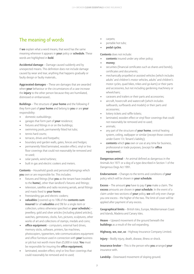## <span id="page-9-0"></span>The meaning of words

If **we** explain what a word means, that word has the same meaning wherever it appears in **your** policy or **schedule**. These words are highlighted in **bold**.

**Accidental damage** – Damage caused suddenly and by unexpected means. This definition does not include damage caused by wear and tear, anything that happens gradually or faulty design or faulty materials..

**Aggravated damages** – These are damages that are awarded when **your** behaviour or the circumstances of a case increase the **injury** to the other person because they are humiliated, distressed or embarrassed..

**Buildings** – The structure of **your home** and the following if they form part of **your home** and belong to **you** or are **your** responsibility:

- domestic outbuildings;
- garages that form part of **your** residence;
- fixtures and fittings in or on the buildings;
- swimming pools, permanently fitted hot tubs;
- tennis hard courts;
- terraces, drives and footpaths;
- boundary and garden walls, gates, fences and hedges;
- permanently fitted laminated, wooden effect, vinyl or lino floor coverings that could not reasonably be removed and re-used;
- solar panels, wind turbines;
- built in gas and electric cookers and meters.

**Contents** – Household goods and personal belongings which **you** own or are responsible for. This includes:

- fixtures and fittings (that **you** as the tenant have installed to the **home**), other than landlord's fixtures and fittings;
- television, satellite and radio receiving aerials, aerial fittings and masts fixed to **your home**;
- freestanding gas and electric cookers;
- **• valuables** (covered up to 10% of the **contents sum insured** for all **valuables** and 5% for a single item or collection, unless otherwise specified on **your schedule**) – jewellery, gold and silver articles (including plated articles), watches, gemstones, clocks, furs, pictures, sculptures, other works of art and collections of stamps, medals and coins;
- **• office equipment** computers, external hard drives, memory sticks, software, printers, fax machines, photocopiers, typewriters, tele-communications equipment and office furniture used in connection with **your** business or job but not worth more than £5,000 in total. **You** must be responsible for insuring the **office equipment;**
- laminated, wooden effect, vinyl or lino floor coverings that could reasonably be removed and re-used;
- carpets;
- portable hot tubs;
- **• pedal cycles**.

**Contents** does not include:

- **• contents** insured under any other policy;
- **• money**;
- securities (financial certificates such as shares and bonds), certificates and documents;
- mechanically propelled or assisted vehicles (which includes adults' and children's motor vehicles, adults' and children's motor cycles, quad bikes, trikes and go-karts) or their parts and accessories, but not including gardening machinery or wheelchairs;
- caravans and trailers or their parts and accessories;
- aircraft, hovercraft and watercraft (which includes sailboards, surfboards and models) or their parts and accessories;
- lottery tickets and raffle tickets;
- laminated, wooden effect or vinyl floor coverings that could not reasonably be removed and re-used;
- animals;
- any part of the structure of **your home**, central heating system, ceiling, wallpaper or similar (except those covered under Event 17c Tenant's liability);
- **• contents** which **you** own or use at any time for business, professional or trade purposes, (except for **office equipment**).

**Dangerous animal** – An animal defined as dangerous in the Animals Act 1971 or a dog of a type described in Section 1 of the Dangerous Dogs Act 1991.

**Endorsement** – Changes to the terms and conditions of **your** policy which will be shown in **your schedule**.

**Excess** – The amount **you** have to pay if **you** make a claim. The **excess** amounts are shown in **your schedule**. In the event of a claim under two sections of **your** policy, **we** will only ever charge you one excess - the higher of the two. The limit of cover will be applied after payment of any excess.

**Geographical limits** – British Isles, Europe, Mediterranean Coast and Islands, Madeira and Canary Isles.

**Heave** – Upward movement of the ground beneath the **buildings** as a result of the soil expanding.

**Highway, we, our, us** - Highway Insurance Company Limited.

**Injury** – Bodily injury, death, disease, illness or shock.

**Insurance broker** – This is the person who **you** arranged **your** insurance with.

**Landslip** – Downward movement of sloping ground.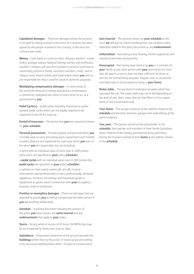**Liquidated damages** – These are damages where the amount to be paid for failing to keep to the terms of a contract has been agreed by the people involved in the contract, at the time the contract was made.

**Money** – Cash, bank or currency notes, cheques, postal or money orders, postage stamps, National Savings stamps and certificates, travellers' cheques, gift vouchers (subject to proof of purchase or ownership), premium bonds, luncheon vouchers, credit, cash or cheque cards, season tickets and travel tickets which **you** own or are responsible for that is used for social or domestic purposes.

**Multiplying compensatory damages** – In some areas of the world the amount of money awarded as compensation is sometimes multiplied two, three or more times to act as a punishment to **you**.

**Pedal Cycle(s)** – pedal cycles including motorised or power assisted pedal cycles which are not legally required to be registered in the UK for road use.

**Period of Insurance** – The period that **you** are covered as shown on **your schedule**.

**Personal possessions** – Private property and personal items **you**  normally wear or carry (including sports equipment) and mobility scooters (that are not registered for road use), which **you** own or for which **you** are responsible, but not including:

• items with an individual value of more than £1,000 (unless these items are specified on **your** policy **schedule**);

• **pedal cycles** with an individual value over £1,000 (unless the **pedal cycles** are specified on **your** policy **schedule**);

• vehicles (or their parts), watercraft, aircraft, musical instruments used professionally or semi-professionally, domestic appliances, furniture, furnishings and household goods or equipment or goods used in connection with **your** occupation, business, trade or profession.

**Punitive or exemplary damages** – These are damages that are awarded to punish **you** as well as compensate the other person if **you** did anything deliberately.

**Schedule** – A printed document showing the sections of the policy **you** have chosen, the **sums insured** and any **endorsements** that apply to **your** policy.

**Storm** – Strong winds in excess of 47 knots (54 MPH) that may be accompanied by heavy rain, snow or sleet.

**Subsidence** – Downward movement of the ground beneath the **buildings** (other than by the action of made up ground settling or by structures bedding down within 10 years of construction).

**Sum insured** – The amount shown on **your schedule** as the most **we** will pay for claims resulting from one incident unless otherwise stated in this policy document or any **endorsement**.

**Unfurnished** – Not having a bed, flooring, kitchen appliances and utensils to live there permanently.

**Unoccupied** – Not having been lived in by **you** or a member of **your** family or any other person with **your** permission for more than 60 days in a row or does not have sufficient furniture or services for normal living purposes. Regular visits or occasional overnight stays is not accepted as living in **your home**.

**Water table** – The top level of underground water which has saturated the soil. The water table may rise or fall depending on the level of rain, sleet, snow, dew etc that filters in from upper levels of soil (unsaturated soil).

**Your home** – The private residence at the address shown in the **schedule** and the land, domestic garages and outbuildings at the same residence.

**You, your** – The person named as the policyholder in the **schedule**, their partner and members of their family (including foster children of the family) permanently living with them, during the insurance period at their **home** at the address shown in the **schedule**.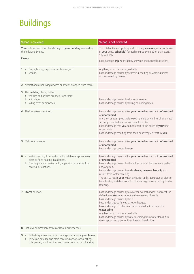## <span id="page-11-0"></span>Buildings

| What is covered                                                                                                                                                                                                     | What is not covered                                                                                                                                                                                                                                                                                                                                                                                                                                           |
|---------------------------------------------------------------------------------------------------------------------------------------------------------------------------------------------------------------------|---------------------------------------------------------------------------------------------------------------------------------------------------------------------------------------------------------------------------------------------------------------------------------------------------------------------------------------------------------------------------------------------------------------------------------------------------------------|
| Your policy covers loss of or damage to your buildings caused by<br>the following Events.                                                                                                                           | The total of the compulsory and voluntary excess figures (as shown<br>in your policy schedule) for each insured Event other than Events<br>15a and 15b.                                                                                                                                                                                                                                                                                                       |
| <b>Events</b>                                                                                                                                                                                                       | Loss, damage, <i>injury</i> or liability shown in the General Exclusions.                                                                                                                                                                                                                                                                                                                                                                                     |
| 1 a Fire, lightning, explosion, earthquake; and<br><b>b</b> Smoke.                                                                                                                                                  | Anything which happens gradually.<br>Loss or damage caused by scorching, melting or warping unless<br>accompanied by flames.                                                                                                                                                                                                                                                                                                                                  |
| 2 Aircraft and other flying devices or articles dropped from them.                                                                                                                                                  |                                                                                                                                                                                                                                                                                                                                                                                                                                                               |
| 3 The <b>buildings</b> being hit by:<br>a vehicles and articles dropped from them;<br>animals; or<br>b<br>falling trees or branches.<br>c                                                                           | Loss or damage caused by domestic animals.<br>Loss or damage caused by felling or lopping trees.                                                                                                                                                                                                                                                                                                                                                              |
| 4 Theft or attempted theft.                                                                                                                                                                                         | Loss or damage caused after your home has been left unfurnished<br>or <i>unoccupied</i> .<br>Any theft or attempted theft to solar panels or wind turbines unless<br>securely mounted in a non-accessible position.<br>Loss or damage that you do not report to the police at your first<br>opportunity.<br>Loss or damage resulting from theft or attempted theft by you.                                                                                    |
| 5 Malicious damage.                                                                                                                                                                                                 | Loss or damage caused after your home has been left unfurnished<br>or <i>unoccupied</i> .<br>Loss or damage caused by you.                                                                                                                                                                                                                                                                                                                                    |
| 6 a Water escaping from water tanks, fish tanks, apparatus or<br>pipes or fixed heating installations.<br><b>b</b> Freezing water in water tanks, apparatus or pipes or fixed<br>heating installations.             | Loss or damage caused after your home has been left unfurnished<br>or <i>unoccupied</i> .<br>Loss or damage caused by the failure or lack of appropriate sealant<br>and/or grout.<br>Loss or damage caused by subsidence, heave or landslip that<br>results from water escaping.<br>The cost to repair your water tanks, fish tanks, apparatus or pipes or<br>fixed heating installations unless the damage was caused by frost or<br>freezing.               |
| 7 Storm or flood.                                                                                                                                                                                                   | Loss or damage caused by a weather event that does not meet the<br>definition of storm as set out in the meaning of words.<br>Loss or damage caused by frost.<br>Loss or damage to fences, gates or hedges.<br>Loss or damage to cellars and basements due to a rise in the<br>water table.<br>Anything which happens gradually.<br>Loss or damage caused by water escaping from water tanks, fish<br>tanks, apparatus, pipes or fixed heating installations. |
| 8 Riot, civil commotion, strikes or labour disturbances.                                                                                                                                                            |                                                                                                                                                                                                                                                                                                                                                                                                                                                               |
| 9 a Oil leaking from a domestic heating installation at your home.<br><b>b</b> Television, satellite and radio receiving aerials, aerial fittings,<br>solar panels, wind turbines and masts breaking or collapsing. |                                                                                                                                                                                                                                                                                                                                                                                                                                                               |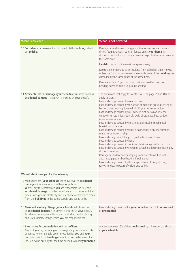| What is covered                                                                                                                                                                                                                                                                                                                                                                              | What is not covered                                                                                                                                                                                                                                                                                                                                                                                                                                                                                                                                                                                                                                                                                                                                                                                                                                                                                                                                                                                                                                                                                                                               |
|----------------------------------------------------------------------------------------------------------------------------------------------------------------------------------------------------------------------------------------------------------------------------------------------------------------------------------------------------------------------------------------------|---------------------------------------------------------------------------------------------------------------------------------------------------------------------------------------------------------------------------------------------------------------------------------------------------------------------------------------------------------------------------------------------------------------------------------------------------------------------------------------------------------------------------------------------------------------------------------------------------------------------------------------------------------------------------------------------------------------------------------------------------------------------------------------------------------------------------------------------------------------------------------------------------------------------------------------------------------------------------------------------------------------------------------------------------------------------------------------------------------------------------------------------------|
| 10 Subsidence or heave of the site on which the buildings stand,<br>or landslip.                                                                                                                                                                                                                                                                                                             | Damage caused to swimming pools, tennis hard courts, terraces,<br>drives, footpaths, walls, gates or fences unless your home, its<br>domestic outbuildings or garages are damaged by the same cause at<br>the same time.<br>Landslip caused by the coast being worn away.<br>Destruction or damage to or resulting from solid floor slabs moving<br>unless the foundations beneath the outside walls of the <b>building</b> are<br>damaged by the same cause at the same time.<br>Damage within 10 years of construction caused by structures<br>bedding down or made-up ground settling.                                                                                                                                                                                                                                                                                                                                                                                                                                                                                                                                                         |
| 11 Accidental loss or damage (your schedule will show cover as<br>accidental damage if this Event is insured by your policy).                                                                                                                                                                                                                                                                | The exclusions that apply to Events 1 to 10 on pages 9 and 10 also<br>apply to Event 11.<br>Loss or damage caused by wear and tear.<br>Loss or damage caused by the action of made up ground settling or<br>by structures bedding down within 10 years of construction.<br>Loss or damage caused by rot, mildew, rust, corrosion, insects,<br>woodworm, rats, mice, squirrels, owls, birds, foxes, bats, badgers,<br>repair or renovation.<br>Loss or damage caused by electronic, electrical or mechanical<br>breakdown or failure.<br>Loss or damage caused by faulty design, faulty plan, specification,<br>materials or workmanship.<br>Loss or damage which happens gradually, or loss of value.<br>Loss or damage caused by frost.<br>Loss or damage caused to hot tubs whilst being installed or moved.<br>Loss or damage caused by chewing, scratching, fouling or tearing by<br>domestic animals.<br>Damage caused by water escaping from water tanks, fish tanks,<br>apparatus, pipes or fixed heating installations.<br>Loss or damage caused by the escape of water from guttering,<br>rainwater downpipes, roof valleys and qullies. |
| We will also insure you for the following:                                                                                                                                                                                                                                                                                                                                                   |                                                                                                                                                                                                                                                                                                                                                                                                                                                                                                                                                                                                                                                                                                                                                                                                                                                                                                                                                                                                                                                                                                                                                   |
| 12 Mains services (your schedule will show cover as accidental<br>damage if this event is insured by your policy).<br>We will pay the costs which you are responsible for, to repair<br>accidental damage to underground water, gas, sewer and drain<br>pipes, underground electricity and telephone cables which reach<br>from the <b>buildings</b> to the public supply, and septic tanks. |                                                                                                                                                                                                                                                                                                                                                                                                                                                                                                                                                                                                                                                                                                                                                                                                                                                                                                                                                                                                                                                                                                                                                   |
| 13 Glass and sanitary fittings (your schedule will show cover<br>as accidental damage if this event is insured by your policy).<br>Accidental breakage of all fixed glass including double glazing<br>and fixed sanitary fittings which you are responsible for.                                                                                                                             | Loss or damage caused after your home has been left unfurnished<br>or <i>unoccupied</i> .                                                                                                                                                                                                                                                                                                                                                                                                                                                                                                                                                                                                                                                                                                                                                                                                                                                                                                                                                                                                                                                         |
| <b>14 Alternative Accommodation and Loss of Rent</b><br>Any rent you pay, including up to two years ground rent or other<br>expenses for comparable accommodation for you and your<br>domestic pets if the <b>buildings</b> cannot be lived in because of an<br>insured event, but only for the time needed to repair your home.                                                             | Any amount over 15% of the sum insured by this section, as shown<br>in your schedule.                                                                                                                                                                                                                                                                                                                                                                                                                                                                                                                                                                                                                                                                                                                                                                                                                                                                                                                                                                                                                                                             |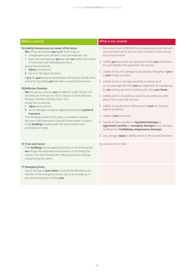#### **15a Liability because you are owner of the home**

**We** will pay all amounts **you** legally have to pay as:

- compensation and claimant's costs and expenses; and
- legal costs and expenses **you** pay with **our** written permission in connection with defending any claim;
- arising from accidental:
- **i injury** to any person;
- **ii** loss of or damage to property.

If **you** die, **your** personal representative will have the benefit of this section for any liability **you** have that is covered by this section.

#### **15bDefective Premises**

**We** will pay any amounts **you** are liable for under Section 3 of the Defective Premises Act 1972 or Section 5 of the Defective Premises (Northern Ireland) Order 1975; arising from accidental:

- **i injury** to any person;
- **ii** loss or damage to property happening during the **period of insurance**.

If the Buildings section of this policy is cancelled or expires, this cover shall continue for a period of seven years, in respect of the **buildings** insured under this section before such cancellation or expiry.

#### **16 Trace and Access**

If the **buildings** are damaged by Events 6a or 9a of this section, **we** will pay the reasonable and necessary cost of finding the source of the leak including the making good of any damage caused during the search.

#### **17 Emergency Entry**

Loss or damage to **your home** caused by the attendance of a member of the emergency services due to an emergency, or perceived emergency involving **you**

#### What is covered What is not covered What is not covered

- 1 Any amount over £2,000,000 for all compensation and claimant's costs and expenses for any one claim or series of claims arising out of any one Event.
- 2 Liability **you** have under any agreement unless **you** would have the same liability if the agreement did not exist.
- 3 Liability for loss of or damage to any property belonging to **you** or in **your** charge or control.
- 4 Liability for loss or damage caused by or arising out of: a) any passenger lift which **you** are responsible for maintaining; b) **you** owning any land or building other than **your home**.
- 5 Liability which is insured by or would be insured by any other policy if this section did not exist.
- 6 Liability arising directly or indirectly out of **your** job, business, trade or profession.
- 7 Liability if **you** are injured.
- 8 Liability for fines, penalties or **liquidated damages** or **aggravated**, **punitive** or **exemplary damages** or any damages resulting from **multiplying compensatory damages**.
- 9 Loss, damage, **injury** or liability shown in the General Exclusions.

Any amount over £1,500.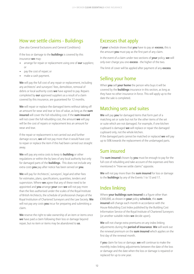### How we settle claims - Buildings

(See also General Exclusions and General Conditions)

If the loss or damage to the **buildings** is covered by this insurance **we** may:

- arrange for repair or replacement using one of **our** suppliers; or
- pay the cost of repair; or
- make a cash payment.

**We** will pay the full cost of any repair or replacement, including any architects' and surveyors' fees, demolition, removal of debris or local authority costs **we** have agreed to pay. Repairs completed by **our** approved suppliers as a result of a claim covered by this insurance, are guaranteed for 12 months.

**We** will repair or replace the damaged items without taking off an amount for wear and tear or loss of value, as long as the **sum insured** will cover the full rebuilding cost. If the **sum insured** will not cover the full rebuilding cost, the amount **we** will pay will be the cost of repairs or replacement less an amount for wear and tear.

If the repair or replacement is not carried out and further damage occurs, **we** will not pay more than it would have cost to repair or replace the item if this had been carried out straight away.

**We** will pay any extra costs to keep to **building** or other regulations or within the by laws of any local authority but only for damaged parts of the **buildings**. This does not include any extra costs **you** pay after notice has been served on **you**.

**We** will pay for Architects', surveyors', legal and other fees for estimates, plans, specifications, quantities, tenders and supervision. Where **we** agree that any of these need to be appointed and **you** arrange **your** own **we** will not pay more than the fees authorised under the scales of the Royal Institute of British Architects, the schedule of professional charges of the Royal Institution of Chartered Surveyors and the Law Society. **We** will not pay any costs **you** incur for preparing and submitting a claim.

**We** reserve the right to take ownership of an item or items once **we** have paid a claim following their loss or damage beyond repair, but no item or items may be abandoned to **us**.

## Excesses that apply

If **your** schedule shows that **you** have to pay an **excess**, this is the amount **you** must pay as the first part of any claim.

In the event of a claim under two sections of **your** policy, **we** will only ever charge you one **excess** - the higher of the two.

The limit of cover will be applied after payment of any **excess**.

## Selling your home

When **you** sell **your home** the person who buys it will be covered by the **buildings** insurance in this section, as long as they have no other insurance in force. This will apply up to the date the sale is completed.

### Matching sets and suites

**We** will pay **you** for damaged items that form part of a matching set or suite but not for the other items of the set or suite which are not damaged. For example, if one kitchen cupboard is damaged **we** will replace or repair the damaged cupboard only, not the whole kitchen.

If the damaged parts cannot be matched or replaced **we** will pay up to 50% towards the replacement of the undamaged parts.

### Sum insured

The **sum insured** chosen by **you** must be enough to pay for the full cost of rebuilding and take account of the expenses and fees mentioned in "How we settle claims" opposite.

**We** will not pay more than the **sum insured** for loss or damage to the **buildings** by any of the Events 1 to 13 and 17.

## Index linking

Where **your buildings sum insured** is a figure other than £300,000, as shown in **your** policy **schedule**, this **sum insured** will change each month in accordance with the House Rebuilding Cost Index published by the Building Cost Information Service of the Royal Institute of Chartered Surveyors (or another suitable index **we** decide upon).

**We** will not charge extra premiums on any index linking adjustments during the **period of insurance**. **We** will work out the renewal premium on the **sum insured** which applies on the first day of the renewal month.

If **you** claim for loss or damage, **we** will continue to make the monthly index linking adjustments between the date of the loss or damage and the date when the loss or damage is repaired or replaced for up to one year.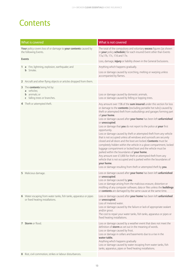## <span id="page-15-0"></span>**Contents**

| What is covered                                                                                      | What is not covered                                                                                                                                                                                                                                                                                                                                                                                                                                                                                                                                                                                                                                                                                                                                                                                                                                                                                                                                                                                                                             |
|------------------------------------------------------------------------------------------------------|-------------------------------------------------------------------------------------------------------------------------------------------------------------------------------------------------------------------------------------------------------------------------------------------------------------------------------------------------------------------------------------------------------------------------------------------------------------------------------------------------------------------------------------------------------------------------------------------------------------------------------------------------------------------------------------------------------------------------------------------------------------------------------------------------------------------------------------------------------------------------------------------------------------------------------------------------------------------------------------------------------------------------------------------------|
| Your policy covers loss of or damage to your contents caused by<br>the following Events.             | The total of the compulsory and voluntary excess figures (as shown<br>in your policy schedule) for each insured Event other than Events<br>17a, 17b, 17c, 17d and 17e.                                                                                                                                                                                                                                                                                                                                                                                                                                                                                                                                                                                                                                                                                                                                                                                                                                                                          |
| <b>Events</b>                                                                                        | Loss, damage, <i>injury</i> or liability shown in the General Exclusions.                                                                                                                                                                                                                                                                                                                                                                                                                                                                                                                                                                                                                                                                                                                                                                                                                                                                                                                                                                       |
| 1 a Fire, lightning, explosion, earthquake; and                                                      | Anything which happens gradually.                                                                                                                                                                                                                                                                                                                                                                                                                                                                                                                                                                                                                                                                                                                                                                                                                                                                                                                                                                                                               |
| <b>b</b> Smoke.                                                                                      | Loss or damage caused by scorching, melting or warping unless<br>accompanied by flames.                                                                                                                                                                                                                                                                                                                                                                                                                                                                                                                                                                                                                                                                                                                                                                                                                                                                                                                                                         |
| 2 Aircraft and other flying objects or articles dropped from them.                                   |                                                                                                                                                                                                                                                                                                                                                                                                                                                                                                                                                                                                                                                                                                                                                                                                                                                                                                                                                                                                                                                 |
| 3 The contents being hit by:<br>a vehicles;<br>animals; or<br>b<br>c falling trees or branches.      | Loss or damage caused by domestic animals.<br>Loss or damage caused by felling or lopping trees.                                                                                                                                                                                                                                                                                                                                                                                                                                                                                                                                                                                                                                                                                                                                                                                                                                                                                                                                                |
| 4 Theft or attempted theft.                                                                          | Any amount over 15% of the sum insured under this section for loss<br>or damage to the <b>contents</b> (excluding portable hot tubs) caused by<br>theft or attempted theft from outbuildings and garages forming part<br>of your home.<br>Loss or damage caused after your home has been left unfurnished<br>or <i>unoccupied</i> .<br>Loss or damage that you do not report to the police at your first<br>opportunity.<br>Loss or damage caused by theft or attempted theft from any vehicle<br>that is not occupied unless all windows and sunroofs are securely<br>closed and all doors and the boot are locked. Contents must be<br>completely hidden within the vehicle in a glove compartment, locked<br>luggage compartment or locked boot and the vehicle must be<br>parked within the boundaries of your home.<br>Any amount over £1,000 for theft or attempted theft from any<br>vehicle that is not occupied and is parked within the boundaries of<br>your home.<br>Loss or damage resulting from theft or attempted theft by you. |
| 5 Malicious damage.                                                                                  | Loss or damage caused after your home has been left unfurnished<br>or <i>unoccupied</i> .<br>Loss or damage caused by you.<br>Loss or damage arising from the malicious erasure, distortion or<br>misfiling of any computer software, data or files unless the <b>buildings</b><br>or contents are damaged by the same cause at the same time.                                                                                                                                                                                                                                                                                                                                                                                                                                                                                                                                                                                                                                                                                                  |
| 6 Water escaping from water tanks, fish tanks, apparatus or pipes<br>or fixed heating installations. | Loss or damage caused after your home has been left unfurnished<br>or <i>unoccupied</i> .<br>Loss of metered water.<br>Loss or damage caused by the failure or lack of appropriate sealant<br>and/or grout.<br>The cost to repair your water tanks, fish tanks, apparatus or pipes or<br>fixed heating installations.                                                                                                                                                                                                                                                                                                                                                                                                                                                                                                                                                                                                                                                                                                                           |
| 7 Storm or flood.                                                                                    | Loss or damage caused by a weather event that does not meet the<br>definition of storm as set out in the meaning of words.<br>Loss or damage caused by frost.<br>Loss or damage in cellars and basements due to a rise in the<br>water table.<br>Anything which happens gradually<br>Loss or damage caused by water escaping from water tanks, fish<br>tanks, apparatus, pipes or fixed heating installations.                                                                                                                                                                                                                                                                                                                                                                                                                                                                                                                                                                                                                                  |
| 8 Riot, civil commotion, strikes or labour disturbances.                                             |                                                                                                                                                                                                                                                                                                                                                                                                                                                                                                                                                                                                                                                                                                                                                                                                                                                                                                                                                                                                                                                 |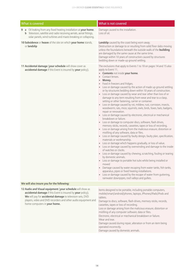| What is covered                                                                                                                                                                                                                                                                         | What is not covered                                                                                                                                                                                                                                                                                                                                                                                                                                                                                                                                                                                                                                                                                                                                                                                                                                                                                                                                                                                                                                                                                                                                                                                                                                                                                                                                                                                                                                                                                                                                                                                                                                                                                                                  |
|-----------------------------------------------------------------------------------------------------------------------------------------------------------------------------------------------------------------------------------------------------------------------------------------|--------------------------------------------------------------------------------------------------------------------------------------------------------------------------------------------------------------------------------------------------------------------------------------------------------------------------------------------------------------------------------------------------------------------------------------------------------------------------------------------------------------------------------------------------------------------------------------------------------------------------------------------------------------------------------------------------------------------------------------------------------------------------------------------------------------------------------------------------------------------------------------------------------------------------------------------------------------------------------------------------------------------------------------------------------------------------------------------------------------------------------------------------------------------------------------------------------------------------------------------------------------------------------------------------------------------------------------------------------------------------------------------------------------------------------------------------------------------------------------------------------------------------------------------------------------------------------------------------------------------------------------------------------------------------------------------------------------------------------------|
| 9 a Oil leaking from any fixed heating installation at your home.<br><b>b</b> Television, satellite and radio receiving aerials, aerial fittings,<br>solar panels, wind turbines and masts breaking or collapsing.                                                                      | Damage caused to the installation.<br>Loss of oil.                                                                                                                                                                                                                                                                                                                                                                                                                                                                                                                                                                                                                                                                                                                                                                                                                                                                                                                                                                                                                                                                                                                                                                                                                                                                                                                                                                                                                                                                                                                                                                                                                                                                                   |
| 10 Subsidence or heave of the site on which your home stands,<br>or landslip                                                                                                                                                                                                            | Landslip caused by the coast being worn away.<br>Destruction or damage to or resulting from solid floor slabs moving<br>unless the foundations beneath the outside walls of the building<br>are damaged by the same cause at the same time.<br>Damage within 10 years of construction caused by structures<br>bedding down or made-up ground settling.                                                                                                                                                                                                                                                                                                                                                                                                                                                                                                                                                                                                                                                                                                                                                                                                                                                                                                                                                                                                                                                                                                                                                                                                                                                                                                                                                                               |
| 11 Accidental damage (your schedule will show cover as<br>accidental damage if this Event is insured by your policy).                                                                                                                                                                   | The exclusions that apply to Events 1 to 10 on pages 14 and 15 also<br>apply to Event 11.<br>• Contents not inside your home.<br>• Contact lenses.<br>Money.<br>Food in freezers and fridges.<br>• Loss or damage caused by the action of made up ground settling<br>or by structures bedding down within 10 years of construction.<br>• Loss or damage caused by wear and tear other than loss of or<br>damage to any item resulting from wear and tear to a clasp,<br>setting or other fastening, carrier or container.<br>• Loss or damage caused by rot, mildew, rust, corrosion, insects,<br>woodworm, rats, mice, squirrels, owls, birds, foxes, bats, badgers,<br>repair or renovation.<br>• Loss or damage caused by electronic, electrical or mechanical<br>breakdown or failure.<br>• Loss or damage to computer discs, software, flash drives,<br>memory sticks, records, cassettes, tapes or loss of recording.<br>• Loss or damage arising from the malicious erasure, distortion or<br>misfiling of any software, data or files.<br>• Loss or damage caused by faulty design, faulty plan, specification,<br>materials or workmanship.<br>• Loss or damage which happens gradually, or loss of value.<br>• Loss or damage caused by overwinding and damage to the inside<br>of watches or clocks.<br>• Loss or damage caused by chewing, scratching, fouling or tearing<br>by domestic animals.<br>• Loss or damage to portable hot tubs whilst being installed or<br>moved<br>• Damage caused by water escaping from water tanks, fish tanks,<br>apparatus, pipes or fixed heating installations.<br>• Loss or damage caused by the escape of water from guttering,<br>rainwater downpipes, roof valleys and gullies. |
| We will also insure you for the following:                                                                                                                                                                                                                                              |                                                                                                                                                                                                                                                                                                                                                                                                                                                                                                                                                                                                                                                                                                                                                                                                                                                                                                                                                                                                                                                                                                                                                                                                                                                                                                                                                                                                                                                                                                                                                                                                                                                                                                                                      |
| 12 Audio and Visual equipment (your schedule will show as<br>accidental damage if this Event is insured by your policy).<br>We will pay for accidental damage to television sets, DVD<br>players, video and DVD recorders and other audio equipment and<br>home computers in your home. | Items designed to be portable, including portable computers,<br>mobile/smart/android/phones, laptops, iPhones/iPads/iPods and<br>tablets.<br>Damage to discs, software, flash drives, memory sticks, records,<br>cassettes, tapes or loss of recording.<br>Loss or damage arising from the malicious erasure, distortion or<br>misfiling of any computer software, data or files.<br>Electronic, electrical or mechanical breakdown or failure.<br>Wear and tear.<br>Damage caused during repair, alteration or from an item being<br>operated incorrectly.                                                                                                                                                                                                                                                                                                                                                                                                                                                                                                                                                                                                                                                                                                                                                                                                                                                                                                                                                                                                                                                                                                                                                                          |

Damage caused by domestic animals.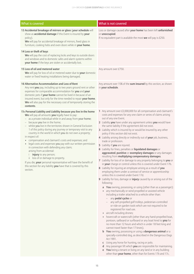| What is covered                                                                                                                                                                                                                                                                                                                                                                                                                                                                                                                                                                                                                                                                                                                                                                                                                                         | What is not covered                                                                                                                                                                                                                                                                                                                                                                                                                                                                                                                                                                                                                                                                                                                                                                                                                                                                                                                                                                                                                                                                                                                                                                                                                                                                                                                                                                                                                                                                                                                                                                                                                                                                                                                                                                                                                                                                                                                                                                                                                                                                                                                                                              |
|---------------------------------------------------------------------------------------------------------------------------------------------------------------------------------------------------------------------------------------------------------------------------------------------------------------------------------------------------------------------------------------------------------------------------------------------------------------------------------------------------------------------------------------------------------------------------------------------------------------------------------------------------------------------------------------------------------------------------------------------------------------------------------------------------------------------------------------------------------|----------------------------------------------------------------------------------------------------------------------------------------------------------------------------------------------------------------------------------------------------------------------------------------------------------------------------------------------------------------------------------------------------------------------------------------------------------------------------------------------------------------------------------------------------------------------------------------------------------------------------------------------------------------------------------------------------------------------------------------------------------------------------------------------------------------------------------------------------------------------------------------------------------------------------------------------------------------------------------------------------------------------------------------------------------------------------------------------------------------------------------------------------------------------------------------------------------------------------------------------------------------------------------------------------------------------------------------------------------------------------------------------------------------------------------------------------------------------------------------------------------------------------------------------------------------------------------------------------------------------------------------------------------------------------------------------------------------------------------------------------------------------------------------------------------------------------------------------------------------------------------------------------------------------------------------------------------------------------------------------------------------------------------------------------------------------------------------------------------------------------------------------------------------------------------|
| 13 Accidental breakage of mirrors or glass (your schedule will<br>show as <b>accidental damage</b> if this Event is insured by your<br>policy).<br>We will pay for accidental breakage of mirrors, fixed glass in<br>furniture, cooking hobs and oven doors while in your home.                                                                                                                                                                                                                                                                                                                                                                                                                                                                                                                                                                         | Loss or damage caused after your home has been left unfurnished<br>or <i>unoccupied</i> .<br>If no equivalent part is available the most we will pay is $£250$ .                                                                                                                                                                                                                                                                                                                                                                                                                                                                                                                                                                                                                                                                                                                                                                                                                                                                                                                                                                                                                                                                                                                                                                                                                                                                                                                                                                                                                                                                                                                                                                                                                                                                                                                                                                                                                                                                                                                                                                                                                 |
| 14 Loss or theft of keys<br>We will pay the cost of replacing locks and keys to outside doors<br>and windows and to domestic safes and alarm systems within<br>your home if the keys are stolen or accidentally lost.                                                                                                                                                                                                                                                                                                                                                                                                                                                                                                                                                                                                                                   |                                                                                                                                                                                                                                                                                                                                                                                                                                                                                                                                                                                                                                                                                                                                                                                                                                                                                                                                                                                                                                                                                                                                                                                                                                                                                                                                                                                                                                                                                                                                                                                                                                                                                                                                                                                                                                                                                                                                                                                                                                                                                                                                                                                  |
| 15 Loss of oil and metered water<br>We will pay for loss of oil or metered water due to your domestic<br>water or fixed heating installations being damaged.                                                                                                                                                                                                                                                                                                                                                                                                                                                                                                                                                                                                                                                                                            | Any amount over £750.                                                                                                                                                                                                                                                                                                                                                                                                                                                                                                                                                                                                                                                                                                                                                                                                                                                                                                                                                                                                                                                                                                                                                                                                                                                                                                                                                                                                                                                                                                                                                                                                                                                                                                                                                                                                                                                                                                                                                                                                                                                                                                                                                            |
| <b>16 Alternative Accommodation and Loss of Rent</b><br>Any rent you pay, including up to two years ground rent or other<br>expenses for comparable accommodation for you and your<br>domestic pets if your home cannot be lived in because of an<br>insured event, but only for the time needed to repair your home.<br>We will also pay for the necessary cost of temporarily storing the<br>contents.                                                                                                                                                                                                                                                                                                                                                                                                                                                | Any amount over 15% of the sum insured by this section, as shown<br>in your schedule.                                                                                                                                                                                                                                                                                                                                                                                                                                                                                                                                                                                                                                                                                                                                                                                                                                                                                                                                                                                                                                                                                                                                                                                                                                                                                                                                                                                                                                                                                                                                                                                                                                                                                                                                                                                                                                                                                                                                                                                                                                                                                            |
| 17a Personal Liability and Liability because you live in the home<br>We will pay all amounts you legally have to pay:<br>- as a private individual while in and away from your home;<br>because you live in the home;<br>- whilst you live in the territories shown in General Exclusion<br>1 of this policy during any journey or temporary visit to any<br>country in the world in which you do not own a property;<br>in respect of:<br>compensation and claimant's costs and expenses; and<br>legal costs and expenses you pay with our written permission<br>in connection with defending any claim;<br>arising from accidental:<br>injury to any person;<br>ii loss of or damage to property.<br>If you die, your personal representative will have the benefit of<br>this section for any liability you have that is covered by this<br>section. | 1 Any amount over £2,000,000 for all compensation and claimant's<br>costs and expenses for any one claim or series of claims arising<br>out of any one Event.<br>2 Liability you have under any agreement unless you would have<br>the same liability if the agreement did not exist.<br>3 Liability which is insured by or would be insured by any other<br>policy if this section did not exist.<br>4 Liability arising directly or indirectly out of your job, business,<br>trade or profession.<br>5 Liability if you are injured.<br>6 Liability for fines, penalties or liquidated damages or<br>aggravated, punitive or exemplary damages or any damages<br>resulting from multiplying compensatory damages.<br>7 Liability for loss of or damage to any property belonging to you or<br>in your charge or control unless this is covered under Event 17b.<br>8 Liability for injuring an employee arising as a result of you<br>employing them under a contract of service or apprenticeship<br>unless this is covered under Event 17d.<br>9 Liability for loss, damage or injury caused by or arising out of the<br>following:<br>a You owning, possessing, or using (other than as a passenger):<br>• any mechanically or wind propelled or assisted vehicle<br>including a trailer attached to a vehicle other than:<br>any pedal cycles or<br>any self-propelled golf trolleys, pedestrian-controlled<br>or ride-on garden tools which are not required to be<br>registered for road use.<br>• aircraft including drones;<br>• hovercraft or watercraft (other than any hand-propelled boat,<br>pontoon, sailboard or surfboard or any boat hired to you for<br>no more than 12 hours and which is under 18 feet long and<br>cannot travel faster than 17 knots).<br><b>b</b> You owning, possessing or using a dangerous animal or a<br>specially-controlled dog, as described in the Dangerous Dogs<br>Act 1991.<br>c Using any horse for hunting, racing or polo.<br>d Any passenger lift which you are responsible for maintaining.<br>e You being a tenant or living on any land or in any building<br>other than your home, other than for Events 17b and 17c. |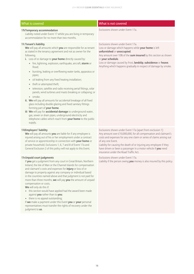| What is covered                                                                                                                                                                                                                                                                                                                                                                                                                                                                                                                                                                                                                                                                                                                                                                                                                                                                                                                                                                                                                       | What is not covered                                                                                                                                                                                                                                                                                                                                                                                          |
|---------------------------------------------------------------------------------------------------------------------------------------------------------------------------------------------------------------------------------------------------------------------------------------------------------------------------------------------------------------------------------------------------------------------------------------------------------------------------------------------------------------------------------------------------------------------------------------------------------------------------------------------------------------------------------------------------------------------------------------------------------------------------------------------------------------------------------------------------------------------------------------------------------------------------------------------------------------------------------------------------------------------------------------|--------------------------------------------------------------------------------------------------------------------------------------------------------------------------------------------------------------------------------------------------------------------------------------------------------------------------------------------------------------------------------------------------------------|
| 17b Temporary accommodation<br>Liability noted under Event 17 whilst you are living in temporary<br>accommodation for no more than two months.                                                                                                                                                                                                                                                                                                                                                                                                                                                                                                                                                                                                                                                                                                                                                                                                                                                                                        | Exclusions shown under Event 17a.                                                                                                                                                                                                                                                                                                                                                                            |
| 17c Tenant's liability<br>We will pay all amounts which you are responsible for as tenant<br>as stated in the tenancy agreement and not as owner for the<br>following.<br>i. Loss of or damage to your home directly caused by:<br>• fire, lightning, explosion, earthquake, aircraft, storm or<br>flood;<br>bursting, leaking or overflowing water tanks, apparatus or<br>$\bullet$<br>pipes;<br>oil leaking from any fixed heating installation;<br>$\bullet$<br>theft or attempted theft;<br>$\bullet$<br>television, satellite and radio receiving aerial fittings, solar<br>$\bullet$<br>panels, wind turbines and masts breaking or collapsing; or<br>· smoke.<br>ii. We will pay all amounts for accidental breakage of all fixed<br>glass including double glazing and fixed sanitary fittings<br>forming part of your home.<br>iii We will pay for accidental damage to underground water,<br>gas, sewer or drain pipes, underground electricity and<br>telephone cables which reach from your home to the public<br>supply. | Exclusions shown under Event 17a.<br>Loss or damage which happens while your home is left<br>unfurnished or unoccupied.<br>Any amount over 10% of the sum insured by this section as shown<br>in your schedule.<br>Loss or damage caused by frost, landslip, subsidence or heave.<br>Anything which happens gradually in respect of damage by smoke.                                                         |
| 17dEmployers' liability<br>We will pay all amounts you are liable for if any employee is<br>injured arising out of his or her employment under a contract<br>of service or apprenticeship in connection with your home or<br>private household. Exclusions 1, 6, 7 and 8 of Event 17a and<br>General Exclusion 2 of this policy will not apply to this Event.                                                                                                                                                                                                                                                                                                                                                                                                                                                                                                                                                                                                                                                                         | Exclusions shown under Event 17a (apart from exclusion 1)<br>Any amount over £10,000,000, for all compensation and claimant's<br>costs and expenses for any one claim or series of claims arising out<br>of any one Event.<br>Liability for causing the death of or injuring any employee if they<br>have driven or been a passenger in a motor vehicle if you need<br>insurance under the Road Traffic Act. |
| 17e Unpaid court judgments<br>If you get a judgment from any court in Great Britain, Northern<br>Ireland, the Isle of Man or the Channel Islands for compensation<br>and claimant's costs and expenses for <i>injury</i> or loss of or<br>damage to property against any company or individual based<br>in the countries named above and that judgment is not paid for<br>more than three months, we will pay you the amount of unpaid<br>compensation or costs.<br>We will only do this if:<br>• this section would have applied had the award been made<br>against you rather than to you;<br>• there is no appeal outstanding;<br>If we make a payment under this Event you or your personal<br>representatives must transfer the rights of recovery under the<br>judgment to us.                                                                                                                                                                                                                                                  | Exclusions shown under Event 17a.<br>Liability if the person owing you money is also insured by this policy.                                                                                                                                                                                                                                                                                                 |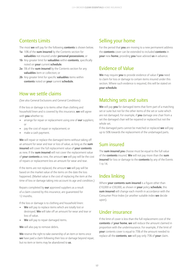### Contents Limits

The most **we** will pay for the following **contents** is shown below. **1a** 10% of the **sum insured** by the Contents section for

- **valuables** not insured under **personal possessions**; or
- **1b** Any greater limit for **valuables** within **contents**, specifically noted on **your** current **schedule**.
- **2a** 5% of the **sum insured** by the Contents section for any **valuables** item or collection; or
- **2b** Any greater limit for specific **valuables** items within **contents** noted on **your** current **schedule**.

### How we settle claims

(See also General Exclusions and General Conditions)

If the loss or damage is to items other than clothing and household linen and is covered by this insurance, **we** will agree with **you** whether to:

- arrange for repair or replacement using one of **our** suppliers; or
- pay the cost of repair or replacement; or
- make a cash payment.

**We** will repair or replace the damaged items without taking off an amount for wear and tear or loss of value, as long as the **sum insured** will cover the full replacement value of **your contents** as new. If the **sum insured** will not cover the replacement value of **your contents** as new, the amount **we** will pay will be the cost of repairs or replacement less an amount for wear and tear.

If the items are not replaced, the amount **we** will pay will be based on the market value of the items on the date the loss happened. (Market value is the cost of replacing the item at the time of loss or damage taking into account its age and condition.)

Repairs completed by **our** approved suppliers as a result of a claim covered by this insurance, are guaranteed for 12 months.

If the loss or damage is to clothing and household linen:

- **We** will pay to replace items which are totally lost or destroyed. **We** will take off an amount for wear and tear or loss of value.
- **We** will pay to repair damaged items.

**We** will also pay to remove debris.

**We** reserve the right to take ownership of an item or items once **we** have paid a claim following their loss or damage beyond repair, but no item or items may be abandoned to **us**.

## Selling your home

For the period that **you** are moving to a new permanent address the **contents** cover can be extended to included **contents** in **your** new **home**, providing **you** have advised **us** in advance.

## Evidence of Value

**We** may require **you** to provide evidence of value if **you** need to claim for loss or damage to certain items insured under this section. Where such evidence is required, this will be stated on **your schedule**.

## Matching sets and suites

**We** will pay **you** for damaged items that form part of a matching set or suite but not for the other items of the set or suite which are not damaged. For example, if **you** damage one chair from a set the damaged chair will be repaired or replaced but not the whole set.

If the damaged parts cannot be matched or replaced **we** will pay up to 50% towards the replacement of the undamaged parts.

## Sum insured

The **sum insured you** choose must be equal to the full value of the **contents** insured. **We** will not pay more than the **sum insured** for loss or damage to the **contents** by any of the Events 1 to 14.

## Index linking

Where **your contents sum insured** is a figure other than £10,000 or £30,000, as shown in **your** policy **schedule**, this **sum insured** will change each month in accordance with the Consumer Price Index (or another suitable index **we** decide upon).

## Under insurance

If the limit of cover is less than the full replacement cost of the **contents** of **your home**, **we** will reduce the amount claimed in proportion with the underinsurance. For example, if the limit of **your** contents cover is equal to 75% of the amount needed to replace all the **contents**, **we** will pay only 75% of **your** claim.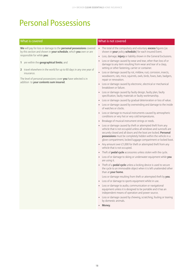## <span id="page-20-0"></span>Personal Possessions

**We** will pay for loss or damage to the **personal possessions** covered by this section and shown in **your schedule**, which **you** own or are responsible for while **you**:

- **1** are within the **geographical limits**; and
- **2** travel elsewhere in the world for up to 60 days in any one year of insurance.

The level of personal possessions cover **you** have selected is in addition to **your contents sum insured**.

#### What is covered What is not covered What is not covered

- The total of the compulsory and voluntary **excess** figures (as shown in **your** policy **schedule**) for each insured Event.
- Loss, damage, **injury** or liability shown in the General Exclusions.
- Loss or damage caused by wear and tear, other than loss of or damage to any item resulting from wear and tear of a clasp, setting or other fastening, carrier or container.
- Loss or damage caused by rot, mildew, rust, corrosion, insects, woodworm, rats, mice, squirrels, owls, birds, foxes, bats, badgers, repair or renovation.
- Loss or damage caused by electronic, electrical or mechanical breakdown or failure.
- Loss or damage caused by faulty design, faulty plan, faulty specification, faulty materials or faulty workmanship.
- Loss or damage caused by gradual deterioration or loss of value.
- Loss or damage caused by overwinding and damage to the inside of watches or clocks.
- Loss or damage to musical instruments caused by atmospheric conditions or very hot or very cold temperatures.
- Breakage of musical instrument strings or reeds.
- Loss or damage caused by theft or attempted theft from any vehicle that is not occupied unless all windows and sunroofs are securely closed and all doors and the boot are locked. **Personal possessions** must be completely hidden within the vehicle in a glove compartment, locked luggage compartment or locked boot.
- Any amount over  $£1,000$  for theft or attempted theft from any vehicle that is not occupied.
- Theft of **pedal cycle** accessories unless stolen with the cycle.
- Loss of or damage to skiing or underwater equipment while **you** are using it.
- Theft of a **pedal cycle** unless a locking device is used to secure the cycle to an immovable object when it is left unattended other than at **your home**.

Loss or damage resulting from theft or attempted theft by **you**.

- Loss of or damage to sports equipment whilst in use.
- Loss or damage to audio, communication or navigational equipment unless it is designed to be portable and it has an independent means of operation and power source.
- Loss or damage caused by chewing, scratching, fouling or tearing by domestic animals.
- **Money**.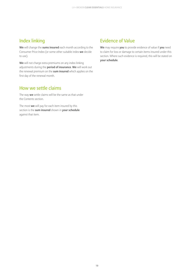### Index linking

**We** will change the **sums insured** each month according to the Consumer Price Index (or some other suitable index **we** decide to use).

**We** will not charge extra premiums on any index linking adjustments during the **period of insurance**. **We** will work out the renewal premium on the **sum insured** which applies on the first day of the renewal month.

### How we settle claims

The way **we** settle claims will be the same as that under the Contents section.

The most **we** will pay for each item insured by this section is the **sum insured** shown in **your schedule** against that item.

## Evidence of Value

**We** may require **you** to provide evidence of value if **you** need to claim for loss or damage to certain items insured under this section. Where such evidence is required, this will be stated on **your schedule**.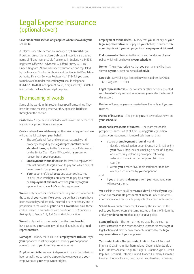## <span id="page-22-0"></span>Legal Expense Insurance (optional cover)

#### **Cover under this section only applies where shown in your schedule.**

All claims under this section are managed by **Lawclub** Legal Protection on our behalf. **Lawclub** Legal Protection is a trading name of Allianz Insurance plc (registered in England No 84638) Registered Office: 57 Ladymead, Guildford, Surrey GU1 1DB United Kingdom. Allianz Insurance is authorised and regulated by the Financial Conduct Authority and the Prudential Regulation Authority. Financial Services Register No. 121849.If **you** want to make a claim under this section **you** should telephone **0344 873 0246** (Lines open 24 hours, 7 days a week). **Lawclub** also provide the Lawphone Legal Helpline.

## The meaning of words

Some of the words in this section have specific meanings. They have the same meaning wherever they appear in **bold** text throughout this section.

**Civil case –** A legal action which does not involve the defence of any criminal prosecution against **you**.

**Costs** – Where **Lawclub** have given their written agreement, **we** will pay the following on **your** behalf.

- **•** The professional fees and expenses reasonably and properly charged by the **legal representative** on the **standard basis**, up to the Guideline Hourly Rates issued by the Senior Court Costs Office, which **you** cannot recover from **your** opponent.
- **• Employment tribunal fees** under Event 4 Employment tribunal disputes that **you** have to pay and which cannot be recovered from **your** opponent.
- **• Your** opponent's legal **costs** and expenses incurred in a civil case which **you** are ordered to pay by a court or **employment tribunal**, or which **you** pay to **your** opponent with **Lawclub's** written agreement.

**We** will only pay **costs** which are necessary and in proportion to the value of **your** claim. If **we** do not agree that the **costs** have been reasonably and properly incurred, or are necessary and in proportion to the value of **your** claim, **Lawclub** will have those costs assessed in accordance with Condition 3f of Conditions that apply to Events 1, 2, 3, 4, 5 and 6 of this section.

**We** will only start to cover **costs** from the time **Lawclub** have accepted **your** claim in writing and appointed the **legal representative**.

**Damages** – Money that a court or **employment tribunal** says **your** opponent must pay to **you** or money **your** opponent agrees to pay to **you** to settle **your** legal action.

**Employment tribunal** – An independent judicial body that has been established to resolve disputes between **you** and **your** employer over **your** employment rights.

**Employment tribunal fees** – Money that **you** must pay, or **your legal representative** must pay on **your** behalf, in order to take **your** dispute with **your** employer to an **employment tribunal**.

**Endorsement –** Changes to the terms and conditions of **your**  policy which will be shown in **your schedule.** 

**Home** – The private residence that **you** permanently live in, as shown in **your** current household **schedule**.

**Lawclub -** Lawclub Legal Protection whose address is PO Box 10623, Wigston, LE18 9HJ

**Legal representative –** The solicitor or other person appointed with **Lawclub's** agreement to represent **you** under the terms of this section.

**Partner –** Someone **you** are married to or live with as if **you** are married.

**Period of insurance –** The period **you** are covered as shown on **your schedule**.

**Reasonable Prospects of Success –** There are reasonable prospects of success if, at all times during **your** legal action against **your** opponent, it is more likely than not that:

- **•** a court or **employment tribunal** would:
	- **i** decide the legal action under Events 1, 2, 3, 4, 5 or 6 in **your** favour (this includes making a successful appeal or successfully defending an appeal following a decision made in respect of **your** claim by a court);or
	- **ii** award **you** a more favourable settlement than has already been offered by **your** opponent

and

**•** if **you** are seeking **damages** from **your** opponent, **you** will recover them.

**We** explain in more detail how **Lawclub** will decide if **your** legal action has **reasonable prospects of success** under 'Important information about reasonable prospects of success' in this section

**Schedule –** A printed document showing the sections of the policy **you** have chosen, the sums insured or limits of indemnity and any **endorsements** that apply to **your** policy.

**Standard basis** – The normal method used by the court to assess **costs** which the court decides are proportionate to **your** legal action and have been reasonably incurred by the **legal representative** and **your** opponent.

**Territorial limit** – The **territorial limit** for Event 1 Personal injury is Great Britain, Northern Ireland, Channel Islands, Isle of Man, Andorra, Austria, Belgium, Bulgaria, Croatia, Cyprus, Czech Republic, Denmark, Estonia, Finland, France, Germany, Gibraltar, Greece, Hungary, Iceland, Italy, Latvia, Liechtenstein, Lithuania,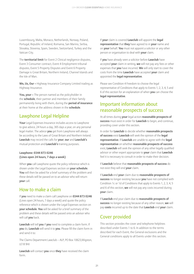Luxembourg, Malta, Monaco, Netherlands, Norway, Poland, Portugal, Republic of Ireland, Romania, San Marino, Serbia, Slovakia, Slovenia, Spain, Sweden, Switzerland, Turkey and the Vatican City.

The **territorial limit** for Event 2 Clinical negligence disputes, Event 3 Consumer contract, Event 4 Employment tribunal disputes, Event 5 Property Disputes and Event 6 Property Damage is Great Britain, Northern Ireland, Channel Islands and the Isle of Man.

**We, Us, Our –** Highway Insurance Company Limited trading as Highway Insurance.

**You, your –** The person named as the policyholder in the **schedule**, their partner and members of their family permanently living with them, during the **period of insurance** at their home at the address shown in the **schedule**.

## Lawphone Legal Helpline

**Your** Legal Expenses Insurance includes access to Lawphone to give advice, 24 hours a day, 365 days a year, on any personal legal matter. The advice **you** get from Lawphone will always be according to the Laws of Great Britain and Northern Ireland. **Lawclub** may record the calls for **your**, **our** and **Lawclub's** mutual protection and **Lawclub's** training purposes.

#### **Lawphone: 0344 873 0246 (Lines open 24 hours, 7 days a week)**

When **you** call Lawphone quote the policy reference which is shown under the Legal Expenses section on **your schedule**. **You** will then be asked for a brief summary of the problem and these details will be passed on to an advisor who will return **your** call.

### How to make a claim

If **you** need to make a claim call Lawphone on **0344 873 0246** (Lines open 24 hours, 7 days a week) and quote the policy reference which is shown under the Legal Expenses section on **your schedule**. **You** will be asked for a brief summary of the problem and these details will be passed onto an advisor who will call **you** back.

**Lawclub** will tell **you** if **you** need to complete a claim form. If **you** do, **Lawclub** will send it to **you**. Please fill the claim form in and send it to:

The Claims Department Lawclub – ALP, PO Box 10623,Wigston, LE18 9HJ

**Lawclub** will contact **you** once **they** have received the claim form.

If **your** claim is covered **Lawclub** will appoint the **legal representative** that **they** have agreed to in **your** name and on **your** behalf. **You** must not appoint a solicitor or any other person or organisation to deal with **your** claim.

If **you** have already seen a solicitor before **Lawclub** have accepted **your** claim in writing, **we** will not pay any fees or other expenses that **you** have incurred. **We** will only start to cover the costs from the time **Lawclub** have accepted **your** claim and appointed the **legal representative**.

Please see Condition 4 Freedom to choose the legal representative of Conditions that apply to Events 1, 2, 3, 4, 5 and 6 of this section for an explanation of when **you** can choose the **legal representative**.

### Important information about reasonable prospects of success

At all times during **your** legal action **reasonable prospects of success** must exist in order for **Lawclub** to begin, and continue, providing cover under this section.

In order for **Lawclub** to decide whether **reasonable prospects of success** exist **Lawclub** will seek the opinion of the **legal representative**. If **Lawclub** are unable to agree with the **legal representative** on whether **reasonable prospects of success** exist, **Lawclub** will seek the opinion of any other legally qualified advisor or other expert appropriate to **your** claim that **Lawclub** feel it is necessary to consult in order to make their decision.

If **Lawclub** believe that **reasonable prospects of success** do not exist they will end **your** claim.

If **Lawclub** end **your** claim due to **reasonable prospects of success** no longer existing because **you** have not complied with Condition 1c or 1d of Conditions that apply to Events 1, 2, 3, 4, 5 and 6 of this section, **we** will not pay any costs incurred during **your** claim.

If **Lawclub** end your claim due to **reasonable prospects of success** no longer existing because of any other reason, **we** will pay **costs** incurred up to the date that **Lawclub** end **your** claim.

## Cover provided

This section provides the cover and telephone helplines described under Events 1 to 6. In addition to the terms described for each Event, the General exclusions and the General conditions apply to all Events under this section.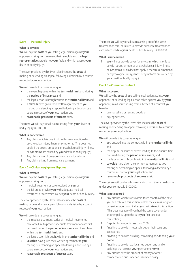#### **Event 1 – Personal injury**

#### **What is covered**

**We** will pay the **costs** of **you** taking legal action against **your** opponent arising from an event that **Lawclub** and the **legal representative** agree is not **your** fault and which causes **your** death or bodily injury**.**

The cover provided by this Event also includes the **costs** of making or defending an appeal following a decision by a court in respect of **your** legal action.

**We** will provide this cover as long as:

- **•** the event happens within the **territorial limit** and during the **period of insurance**; and
- **•** the legal action is brought within the **territorial limit**; and
- **• Lawclub** have given their written agreement to **you** making or defending an appeal following a decision by a court in respect of **your** legal action; and
- **• reasonable prospects of success** exist.

The most **we** will pay for all claims arising from **your** death or bodily injury is £100,000.

#### **What is not covered**

- **1** Any claim which is only to do with stress, emotional or psychological injury, illness or symptoms. (This does not apply if the stress, emotional or psychological injury, illness or symptoms are caused by **your** death or bodily injury.)
- **2** Any claim arising from **you** driving a motor vehicle.
- **3** Any claim arising from medical treatment.

#### **Event 2 – Clinical negligence disputes**

#### **What is covered**

**We** will pay the **costs** of **you** taking legal action against **your**  opponent arising from:

- **•** medical treatment or care received by **you**; or
- **•** the failure to provide **you** with adequate medical treatment or care which causes **your** death or bodily injury.

The cover provided by this Event also includes the **costs** of making or defending an appeal following a decision by a court in respect of **your** legal action.

**We** will provide this cover as long as:

- **•** the medical treatment, series of medical treatments, care or failure to provide adequate treatment or care first occurred during the **period of insurance** and took place within the **territorial limit**; and
- **•** the legal action is brought within the **territorial limit;** and
- **• Lawclub** have given their written agreement to **you** making or defending an appeal following a decision by a court in respect of **your** legal action; and
- **• reasonable prospects of success** exist.

The most **we** will pay for all claims arising out of the same treatment or care, or failure to provide adequate treatment or care, which leads to **your** death or bodily injury is £100,000

#### **What is not covered**

**1 We** will not provide cover for any claim which is only to do with stress, emotional or psychological injury, illness or symptoms. (This does not apply if the stress, emotional or psychological injury, illness or symptoms are caused by **your** death or bodily injury.)

#### **Event 3 – Consumer contract**

#### **What is covered**

**We** will pay the **costs** of **you** taking legal action against **your**  opponent, or defending legal action taken against **you** by **your** opponent, in a dispute arising from a breach of a contract **you** have for:

- **•** buying, selling or renting goods; or
- **•** buying services.

The cover provided by this Event also includes the **costs** of making or defending an appeal following a decision by a court in respect of **your** legal action.

**We** will provide this cover as long as:

- **• you** entered into the contract within the **territorial limit**; and
- **•** the dispute, or series of events leading to the dispute, first occurred during the **period of insurance**; and
- **•** the legal action is brought within the **territorial limit**; and
- **Lawclub** have given their written agreement to you making or defending an appeal following a decision by a court in respect of **your** legal action; and
- **• reasonable prospects of success** exist.

The most **we** will pay for all claims arising from the same dispute under **your** contract is £100,000.

#### **What is not covered**

- **1** Any dispute which starts within three months of the date **you** first take out this section, unless the claim is for goods or services **you** bought after **you** first take out this section. (This does not apply if you had the same cover under another policy up to the date **you** first take out this section.)
- **2** Disputes for amounts less than £100.
- **3** Anything to do with motor vehicles or their parts and accessories.
- **4** Anything to do with building, converting or extending **your home**.
- **5** Anything to do with work carried out on any land or buildings that are not **your** permanent **home**.
- **6** Any dispute over the amount of money or other compensation due under an insurance policy.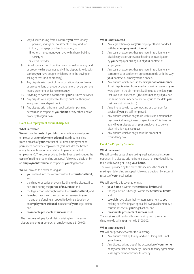- **7** Any dispute arising from a contract **you** have for any: **i** pension, savings or investments of any kind; or
	- **ii** loan, mortgage or other borrowing; or
	- **iii** other arrangement **you** have with a bank, building society or
	- **iv** credit provider.
- **8** Any dispute arising from the buying or selling of any land or property (this does not apply if the dispute is to do with services **you** have bought which relate to the buying or selling of that land or property).
- **9** Any dispute arising out of the occupation of **your home**, or any other land or property, under a tenancy agreement, lease agreement or licence to occupy.
- **10** Anything to do with a contract for **your** business activities.
- **11** Any dispute with any local authority, public authority or any government department.
- **12** Any dispute arising from an application for planning permission in respect of **your home** or any other land or property that **you** own.

#### **Event 4 – Employment tribunal disputes**

#### **What is covered**

**We** will pay the **costs** of **you** taking legal action against **your** employer at an **employment tribunal** in a dispute arising from a breach of **your** contract of full-time employment or permanent part-time employment (this includes the breach of any legal rights **you** have relating to **your** contract of employment). The cover provided by this Event also includes the **costs** of making or defending an appeal following a decision by an **employment tribunal** in respect of **your** legal action.

**We** will provide this cover as long as:

- **• you** entered into the contract within the **territorial limit**; and
- **•** the dispute, or series of events leading to the dispute, first occurred during the **period of insurance**; and
- **•** the legal action is brought within the **territorial limit**; and
- **• Lawclub** have given their written agreement to **you** making or defending an appeal following a decision by an **employment tribunal** in respect of **your** legal action; and
- **• reasonable prospects of success** exist.

The most **we** will pay for all claims arising from the same dispute under **your** contract of employment is £100,000.

#### **What is not covered**

- **1** Any legal action against **your** employer that is not dealt with by an **employment tribuna**l.
- **2** Any costs or expenses that **you** incur in relation to any disciplinary action, grievance hearing or investigation by **your** employer arising out of **your** contract of employment.
- **3** Any costs or expenses that **you** incur in relation to any compromise or settlement agreement to do with the way **your** contract of employment is ended.
- **4** Any dispute which starts in the first **period of insurance** if that dispute arises from a verbal or written warning **you** were given in the six months leading up to the date **you** first take out this section. (This does not apply if **you** had the same cover under another policy up to the date **you** first take out this section.)
- **5** Anything to do with subcontracting or a contract for services if **you** are self- employed.
- **6** Any dispute which is only to do with stress, emotional or psychological injury, illness or symptoms. (This does not apply if **your** dispute with **your** employer is to do with discrimination against **you**.)
- **7** Any dispute which is only about the amount of redundancy pay.

#### **Event 5 – Property Disputes**

#### **What is covered**

**We** will pay the **costs** of **you** taking legal action against **your**  opponent in a dispute arising from a breach of **your** legal rights to do with owning or using **your home**.

The cover provided by this event also includes the **costs** of making or defending an appeal following a decision by a court in respect of **your** legal action.

**We** will provide this cover as long as:

- **• your home** is within the **territorial limits**; and
- the legal action is brought within the **territorial limits**; and
- **• Lawclub** have given their written agreement to **you** making or defending an appeal following a decision by a court in respect of **your** legal action; and
- **• reasonable prospects of success** exist.

The most **we** will pay for all claims arising from the same dispute to do with **your** home is £100,000.

#### **What is not covered**

**We** will not provide cover for the following.

- **1** Any dispute relating to any land or building that is not **your home.**
- **2** Any dispute arising out of the occupation of **your home**, or any other land or property, under a tenancy agreement, lease agreement or licence to occupy.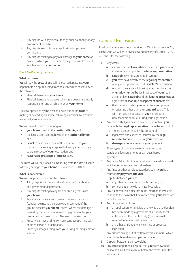- **3** Any dispute with any local authority, public authority or any government department.
- **4** Any dispute arising from an application for planning permission..
- **5** Any dispute relating to physical damage to **your home** or property which **you** own or are legally responsible for and which is in or on **your home**.

#### **Event 6 – Property damage**

#### **What is covered**

**We** will pay the **costs** of **you** taking legal action against **your** opponent in a dispute arising from an event which causes any of the following.

- Physical damage to **your home.**
- Physical damage to property which **you** own or are legally responsible for, and which is in or on **your home**.

The cover provided by this Section also includes the **costs** of making or defending an appeal following a decision by a court in respect o**f your** legal action.

**We** will provide this cover as long as:

- **• your home** is within the **territorial limits**; and
- the legal action is brought within the **territorial limits**; and
- **• Lawclub** have given their written agreement to **you** making or defending an appeal following a decision by a court in respect of **your** legal action; and
- **• reasonable prospects of success** exist.

The most **we** will pay for all claims arising from the same dispute following damage to **your home** or property is £100,000.

#### **What is not covered**

**We** will not provide cover for the following.

- 1. 1 Any dispute with any local authority, public authority or any government department.
- 2. Any dispute relating to any land or building that is not **your home**.
- 3. Property damage caused by mining or subsidence (subsidence means the downward movement of the ground beneath **your home**, except where the damage is caused by the settlement of made up ground or by **your home** bedding down within 10 years of construction
- 4. Property damage arising from any contract **you** have with another person or organisation.
- 5. Property damage arising from **you** driving or using a motor vehicle.

### General Exclusions

In addition to the exclusions described in 'What is not covered' by each Event, we will not provide cover under any of Events 1, 2, 3, 4, 5 and 6 for the following.

- **1** Any **costs**:
	- **a** incurred before **Lawclub** have accepted **your** claim in writing and appointed the **legal representative;**
	- **b Lawclub** have not agreed to in writing;
	- **c you** have paid directly to the **legal representative** or any other person without **Lawclub's** permission;
	- **d** relating to an appeal following a decision by a court or **employment tribunal** in respect of **your** legal action unless **Lawclub** and the **legal representative** agree that **reasonable prospects of success** exist;
	- **e** that the court orders **you** to pay to **your** opponent on anything other than the **standard basis**. This will normally be because of **your** improper or unreasonable conduct during your legal action.
- **2** Any money that **you** have to pay under a contract **you** have with the **legal representative** where the amount of that money is determined by the amount of:
	- **a** legal costs and expenses incurred by the **legal representative** in respect of **your** claim; or
	- **b damages you** receive from **your** opponent.

These types of contracts are often referred to as conditional fee agreements or damages-based agreements.

- **3** Any Value Added Tax that is payable on the **costs** incurred which **you** can recover from elsewhere.
- **4** Any fines or other penalties awarded against **you** by a court or **employment tribunal**.
- **5** Disputes between **you** and:
	- **a** any other person covered by this section; or
	- **b** someone **you** live with or have lived with.
- **6** Any claim where it is clear from the information available relating to the claim that it has arisen from **your** deliberate or reckless action.
- **7** Any dispute arising from:
	- **a** an application for a review of the way that a decision has been made by a government authority, local authority or other public body (this is normally referred to as a judicial review); or
	- **b** any other challenge to any existing or proposed legislation..
- **8** Any dispute arising out of written or verbal remarks which you believe have damaged **your** reputation.
- **9** Disputes between **us** or **Lawclub.**
- **10** Any actual or potential dispute, that **you** were aware of, or should have been aware of before the cover under this section started.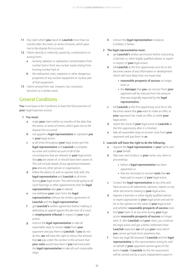- **11** Any claim which **you** report to **Lawclub** more than six months after the event, or series of events, which gave rise to the dispute first occurred.
- **12** Claims directly or indirectly caused by, contributed to or arising from::
	- **a** ionising radiation or radioactive contamination from nuclear fuel or from any nuclear waste arising from burning nuclear fuel; or
	- **b** the radioactive, toxic, explosive or other dangerous properties of any nuclear equipment or nuclear part of that equipment.
- **13** Claims arising from war, invasion, riot, revolution, terrorism or a similar event.

## General Conditions

**You** must keep to the Conditions to have the full protection of **your** Legal Expenses section.

- **1 You must:**
	- **a** make **your** claim within six months of the date that the event, or series of events, which gave rise to the dispute first occurred;
	- **b** not appoint a **legal representative** to represent **you** in **your** legal action;
	- **c** at all times throughout **your** legal action give the **legal representative** and **Lawclub** a complete, accurate and truthful account of all of the circumstances that are relevant to **your** legal action that **you** are aware of, or should have been aware of. This will include details of any agreement between **you** and any other person or organisation;
	- **d** follow the advice of, and co-operate fully with, the **legal representative** and **Lawclub** at all times during **your** legal action. This will include going to all court hearings or other appointments that the **legal representative** asks **you** to attend;
	- **e** not withdraw **your** claim from the **legal representative** without the written agreement of **Lawclub** and the **legal representative**;
	- **f** get **Lawclub's** written agreement before making or defending an appeal against the decision of a court or **employment tribunal** in respect of **your** legal action;
	- **g** instruct the **legal representative** to take all reasonable steps to recover **costs** from **your** opponent and pay them to **Lawclub**. If **you** do not do this, **we** will have the right to reduce the amount that **we** pay under this section to the amount that **your costs** would have been if **you** had instructed the **legal representative** to take all such reasonable steps;
- **h** instruct the **legal representative** to keep to Condition 2 below.
- **2 The legal representative must:**
	- **a** get **Lawclub's** written permission before instructing a barrister or, other legally qualified advisor or expert in respect of **your** legal action;
	- **b** tell **Lawclub** at the first opportunity once he or she becomes aware of any information or development which will more likely than not mean that:
		- **• reasonable prospects of success** no longer exist; or
		- **•** the **damages** that **you** can recover from **your** opponent will be reduced from the amount that was originally expected by the **legal representative**;
	- **c** tell **Lawclub** at the first opportunity once he or she becomes aware that **you** want to make an offer, or **your** opponent has made an offer, to settle **your** legal action;
	- **d** report the result of **your** legal action to **Lawclub** at the first opportunity after it is finished;
	- **e** take all reasonable steps to recover costs from **your** opponent and pay them to **us**.

#### **3 Lawclub will have the right to do the following:**

- **a** Appoint the **legal representative** in **your** name and on **your** behalf.
- **b** Take over and conduct, in **your** name, any claim or proceedings:
	- **•** before a **legal representative** has been appointed; or
	- that are necessary to recover **costs** that **we** have paid in respect of **your** legal action.
- **c** Contact the **legal representative** at any time and have access to all statements, opinions, reports or any other documents relating to **your** legal action.
- **d** Appoint a barrister or other legally qualified advisor or expert appropriate to **your** legal action and ask for his or her opinion on the value of **your** legal action and whether **reasonable prospects of success** exist.
- **e** End **your** claim if, at any time during **your** legal action **reasonable prospects of success** no longer exist. If, after **Lawclub** end **your** claim, you continue the legal action and get a better settlement than **Lawclub** expected, **we** will pay **your** costs which **you** cannot get back from anywhere else.
- **f** Have any legal bill assessed if **Lawclub** and the **legal representative** or the representative acting for and on behalf of **your** opponent cannot agree on the level of **costs**. If **Lawclub** do this the assessment will be carried out by a court, independent expert in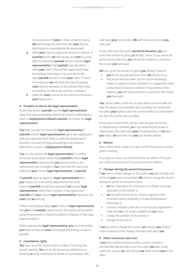the assessment of **costs** or other competent party. **We** will not pay any more than the **costs** that are determined as reasonable by the assessment.

- **g** Settle **your** claim by paying the amount in dispute. If **Lawclub** do this **we** will not pay any **costs** incurred after the date that **Lawclub** tell you, and any **legal representative**, that **Lawclub** have decided to settle **your** claim. (This will not apply where legal proceedings have begun in a court before the date **Lawclub** decide to settle **your** claim. In these circumstances **we** will settle the claim by paying **costs** that are necessary to discontinue those legal proceedings as well as the amount in dispute.)
- **h** Settle the **costs** covered by this section at the end of **your** legal action.

#### **4 Freedom to choose the legal representative**

At any time before **Lawclub** and the **legal representative** agree that legal proceedings need to be issued or defended in a court or **employment tribunal Lawclub** will choose the **legal representative**.

**You** have the right to choose the **legal representative** if **Lawclub** and the **legal representative** agree that negotiations with your opponent have failed to settle the dispute and it becomes necessary for legal proceedings to be issued or defended in a court or **employment tribunal**.

**You** can also choose the **legal representative** if a conflict of interest arises which means that **Lawclub's** chosen **legal representative** cannot act for **you** because of his or her professional rules of conduct. **You** must send the name and address of **your** chosen **legal representative** to **Lawclub**.

If **Lawclub** agree to appoint a **legal representative** that **you** choose, he or she will be appointed on the same terms as **Lawclub** would have appointed **our** chosen **legal representative**, other than in respect of any agreement **Lawclub** and **your** chosen **legal representative** reach over the **costs** that **we** will pay.

If there is any dispute about **your** choice of **legal representative**  that **you** and **Lawclub** cannot resolve, the matter will be settled using the procedure in General condition e Disputes of this Legal Expenses section.

When choosing the **legal representative**, **you** must remember **your** duty to keep the **costs** of any legal proceedings as low as possible.

#### **5 Cancellation rights**

**You** may cancel this section within 14 days of receiving this section wording. **You** can do this by writing, telephoning or emailing **us** or by contacting the broker or intermediary who deals with **your** home policy. **We** will refund any money **you** have paid.

At any other time during the **period of insurance**, **you** can cancel this section by giving **us** 30 days' notice. If you cancel this section during this time, **you** will not be entitled to a refund of the money **you** have paid.

**We** can cancel this section by giving **you** 30 days' notice if:

- **• you** do not pay the premium when **we** ask you to; or
- **•** the person who has taken out this section knowingly makes or supports a false, fraudulent or exaggerated claim, as described in General condition h Fraud below. If this happens, **you** will not be entitled to a refund of the money **you** have paid.

**You** cannot make a claim for an event which occurred after the date this section was cancelled, but cancelling this section will not affect **your** right to claim for an event which occurred before the date this section was cancelled.

Every notice to cancel this section must be given by writing to, telephoning or emailing **us** or by contacting the broker or intermediary who deals with **your** household policy. If **we** give **you** notice, **we** will send it to **your** last known address.

#### **6 Notices**

Every notice which needs to be given under this section must be given in writing.

If you give us notice, you must send it to our address. If we give you notice, we must send it to your last known address.

#### **7 Changes during the period of insurance**

If **we** need to make changes to this section, **we** will normally only do this at **your** next renewal date. **We** will not change this section during the period of insurance unless:

- **• we** are required to do so because of a change in any law applicable to this section; or
- **• we** are told to do so by our industry regulators (the Financial Conduct Authority or Prudential Regulation Authority); or
- **•** a service provided under this section by any organisation other than **us** is no longer available and **we** must:
- **•** change the provider of the service; or
- **•** change the service; or

If **we** do need to change this section, **we** will give **you** 30 days' notice in writing of the change and how it will affect **you**.

#### **8 Other insurances and cover**

If **you** have another insurance policy, service contract or membership that provides cover for a claim **you** have made under this section, **we** will only pay **our** share of the **costs** of the claim.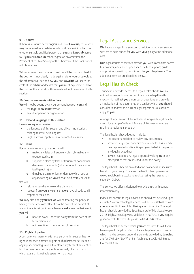#### **9 Disputes**

If there is a dispute between **you** and **us** or **Lawclub**, the matter may be referred to an arbitrator who will be a solicitor, barrister or other suitably qualified person that **you** and **Lawclub** agree to. If **you** and **Lawclub** cannot agree on an arbitrator, the President of the Law Society or the Chairman of the Bar Council will choose one.

Whoever loses the arbitration must pay all the costs involved. If the decision is not clearly made against either **you** or **Lawclub**, the arbitrator will decide how **you** and **Lawclub** will share the costs. If the arbitrator decides that **you** must pay some, or all of the costs of the arbitration those costs will not be covered by this section.

#### **10 Your agreements with others**

**We** will not be bound by any agreement between **you** and:

- **•** the **legal representative**; or
- **•** any other person or organisation.

#### **11 Law and language of this section**

Unless **we** agree otherwise:

- **•** the language of this section and all communications relating to it will be in English;
- **•** English law will apply to this contract of insurance.

#### **12 Fraud**

If **you** or anyone acting on **your** behalf:

- **a** makes any false or fraudulent claim; b makes any exaggerated claim;
- **b** supports a claim by false or fraudulent documents, devices or statements (whether or not the claim is itself genuine); or
- **c** d makes a claim for loss or damage which you or anyone acting on **your** behalf deliberately caused;

#### **we** will:

- **•** refuse to pay the whole of the claim; and
- **•** recover from **you** any sums that **we** have already paid in respect of the claim.

**We** may also notify **you** that **we** will be treating the policy as having terminated with effect from the date of the earliest of any of the acts set out in sub-clauses **a – d** above. In that event, **you** will:

- **a** have no cover under the policy from the date of the termination; and
- **b** not be entitled to any refund of premium.

#### **13 Rights of parties**

A person or company who is not a party to this section has no right under the Contracts (Rights of Third Parties) Act 1999, or any replacement legislation, to enforce any term of this section, but this does not affect any right or remedy of a third party which exists or is available apart from that Act.

## Legal Assistance Services

**We** have arranged for a selection of additional legal assistance services to be included for **you** with **your** policy at no additional cost.

**Our** legal assistance services provide **you** with immediate access to a solicitor, and are designed specifically to support, guide and provide you with options to resolve **your** legal needs. The additional services are described below.

### Legal Health Check

This Section provides access to a legal health check. **You** are entitled to free, unlimited access to an online legal health check which will ask **you** a number of questions and provide an indication of the documents and services which **you** should consider to address the current legal aspects or issues which apply to **you**.

A range of legal areas will be included during each legal health check, for example Wills and Powers of Attorney or matters relating to residential property.

The legal health check does not include:

- **•** the cost for a solicitor to review any documents;
- **•** advice on any legal matters where a solicitor has already been appointed and is acting on **your** behalf in respect of any legal proceedings;
- **•** advice related to any legal disputes involving **us** or any other parties that are insured under this policy.

The legal health check is provided at no cost and is an inclusive benefit of your policy. To access the health check please visit www.lawclubonline.co.uk and register using the registration code: LV=CLEAR.

The service we offer is designed to provide **you** with general information only.

It does not constitute legal advice and should not be relied upon as such. A contract for legal services will not be established with **you** as a result of **Lawclub** offering **you** this service. The legal health check is provided by Epoq Legal Ltd of Middlesex House, 29- 45 High Street, Edgware, Middlesex HA8 7UU. If **you** require guidance with the website please call 0345 644 8966.

The legal helpline service which **you** are required to call if you have a specific legal problem or have a legal matter to consider which may be covered under this policy is provided by **Lawclub** and/or DWF LLP ('DWF') of 5 St Paul's Square, Old Hall Street, Liverpool L3 9AE.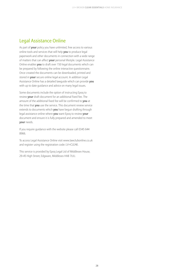### Legal Assistance Online

As part of **your** policy you have unlimited, free access to various online tools and services that will help **you** to produce legal paperwork and other documents in connection with a wide range of matters that can affect **your** personal lifestyle. Legal Assistance Online enables **you** to draft over 150 legal documents which can be prepared by following the online interactive questionnaire. Once created the documents can be downloaded, printed and stored in **your** secure online legal account. In addition Legal Assistance Online has a detailed lawguide which can provide **you** with up to date guidance and advice on many legal issues.

Some documents include the option of instructing Epoq to review **your** draft document for an additional fixed fee. The amount of the additional fixed fee will be confirmed to **you** at the time that **you** use the service. This document review service extends to documents which **you** have begun drafting through legal assistance online where **you** want Epoq to review **your** document and ensure it is fully prepared and amended to meet **your** needs.

If you require guidance with the website please call 0345 644 8966.

To access Legal Assistance Online visit www.lawclubonline.co.uk and register using the registration code: LV=CLEAR.

This service is provided by Epoq Legal Ltd of Middlesex House, 29-45 High Street, Edgware, Middlesex HA8 7UU.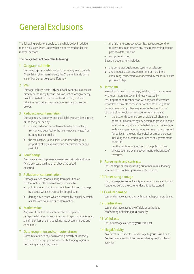## <span id="page-31-0"></span>General Exclusions

The following exclusions apply to the whole policy in addition to the exclusions listed under what is not covered under the relevant sections.

#### **The policy does not cover the following:**

#### 1 Geographical limits

Damage, **injury** or liability arising out of any event outside Great Britain, Northern Ireland, the Channel Islands or the Isle of Man, unless **we** say differently.

#### 2 War

Damage, liability, death, **injury**, disability or any loss caused directly or indirectly by war, invasion, act of foreign enemy, hostilities (whether war be declared or not), civil war, rebellion, revolution, insurrection or military or usurped power.

#### 3 Radioactive contamination

Damage to any property, any legal liability or any loss directly or indirectly caused by:

- **a** ionising radiation or contamination by radioactivity from any nuclear fuel, or from any nuclear waste from burning nuclear fuel; or
- **b** the radioactive, toxic, explosive or other dangerous properties of any explosive nuclear machinery or any part of it.

#### 4 Sonic bangs

Damage caused by pressure waves from aircraft and other flying devices travelling at or above the speed of sound.

#### 5 Pollution or contamination

Damage caused by or resulting from pollution or contamination, other than damage caused by:

- **a** pollution or contamination which results from damage by a cause which is insured by this policy; or
- **b** damage by a cause which is insured by this policy which results from pollution or contamination.

#### 6 Market value

Any loss of market value after an item is repaired or replaced (Market value is the cost of replacing the item at the time of loss or damage taking into account its age and condition).

#### 7 Date recognition and computer viruses

Costs in relation to any claim arising directly or indirectly from electronic equipment, whether belonging to **you** or not, failing at any time, due to:

– the failure to correctly recognize, accept, respond to, retrieve, retain or process any data representing date or part of a date, time; or

– computer viruses.

Electronic equipment includes:

- **a** any computer equipment, system or software;
- **b** any product, accessory, equipment or machinery containing, connected to or operated by means of a data processor chip.

#### 8 Terrorism

**We** will not cover loss, damage, liability, cost or expense of whatever nature directly or indirectly caused by, resulting from or in connection with any act of terrorism regardless of any other cause or event contributing at the same time or in any other sequence to the loss. For the purpose of this exclusion an act of terrorism means:

the use, or threatened use, of biological, chemical and/or nuclear force by any person or group of people whether acting alone or on behalf of or in connection with any organisation(s) or government(s) committed for political, religious, ideological or similar purposes including the intention to influence any government and/or to

put the public or any section of the public in fear.

any act deemed by the government to be an act of terrorism.

#### 9 Agreements and contracts

Loss, damage or liability arising out of or as a result of any agreement or contract **you** have entered in to.

#### 10 Pre-existing damage

Loss, damage, **injury** or liability as a result of an event which happened before the cover under this policy started.

#### 11 Gradual damage

Loss or damage caused by anything that happens gradually.

#### 12 Confiscation

Loss or damage caused by officials or authorities confiscating or holding **your** property.

#### 13 Wilful acts

Loss or damage caused by **your** wilful act.

#### 14 Illegal Activity

Any direct or indirect loss or damage to **your Home** or its **Contents** as a result of the property being used for illegal activities.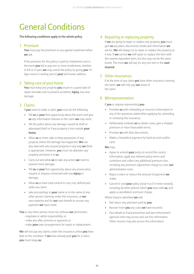## <span id="page-32-0"></span>General Conditions

#### **The following conditions apply to the whole policy.**

#### 1 Premium

**You** must pay the premium or any agreed instalment when **we** ask.

If the premium for this policy is paid by instalments and in the event **you** fail to pay one or more instalments, whether in full or in part, **we** may cancel the policy by giving **you** 14 days notice in writing sent to **your** last known address.

#### 2 Taking care of your home

**You** must keep any property **you** insure in a good state of repair and take care to prevent accidents, **injury**, loss and damage.

#### 3 Claims

If **you** need to make a claim, **you** must do the following:

- **•** Tell **us** at **your** first opportunity about the event and give **us** any information relevant to the claim **we** may need.
- **•** Tell the police about any damage caused by theft or attempted theft or if any property is lost outside **your home**.
- **•** Allow **us** to enter, take or keep possession of any property where the damage has happened. **We** can also deal with any insured property in any way **we** think is appropriate. However, **you** must not abandon any property and leave it to **us**.
- **•** Carry out and allow **us** to take any action **we** need to prevent more damage.
- **•** Tell **us** at **your** first opportunity about any prosecution, inquest or enquiry connected with any **injury** or damage.
- Allow **us** to have total control to carry out, defend and settle any claim;
- take proceedings in **your** name or in the name of any other person claiming under this insurance, at **our** own expense and for **our** own benefit to recover any payment **we** have made.

**You** or any other person must not, without **our** permission:

- negotiate or admit responsibility; or
- make any offer, promise or payment; or
- make **your** own arrangements for repair or replacement.

**We** will not pay any claims under this insurance unless **you** have kept to this condition. If **we** have already paid **you** for a claim, **you** must repay **us**.

#### 4 Repairing or replacing property

If **we** are going to repair or replace any property, **you** must give **us** any plans, documents, books and information **we** ask for. **We** will always try to repair or replace the property as it was. If **we** cannot **we** will repair or replace the item with the nearest equivalent item, but this may not be the same brand. The most **we** will pay for any one item is the **sum insured**.

#### 5 Other insurances

If at the time of any claim **you** have other insurance covering the claim, **we** will only pay **our** share of the claim.

#### 6 Misrepresentation

If **you** or anyone representing **you**:

- **•** Provides **us** with misleading or incorrect information to any of the questions asked when applying for, amending or renewing this insurance;
- **•** Deliberately misleads **us** to obtain cover, gain a cheaper premium or more favourable terms;
- **•** Provides **us** with false documents;
- **•** Makes a fraudulent payment by bank account and/or card;

#### **We** may:

- **•** Agree to amend **your** policy to record the correct information, apply any relevant policy terms and conditions and collect any additional premium due including any premium adjustment charge to cover **our**  administration costs;
- **•** Reject a claim or reduce the amount of payment **we**  make;
- **•** Cancel or void **your** policy (treat it as if it never existed), including all other policies which **you** have with **us**, and apply a cancellation premium charge.

Where fraud is identified **we** will:

- **•** Not return any premium paid by **you**.
- **•** Recover from **you** any costs **we** have incurred.
- **•** Pass details to fraud prevention and law enforcement agencies who may access and use this information. Other insurers may also access this information.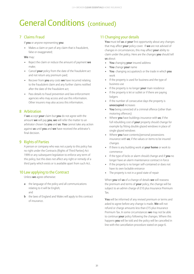## General Conditions (continued)

#### 7 Claims Fraud

If **you** or anyone representing **you**:

**•** Makes a claim or part of any claim that is fraudulent, false or exaggerated;

**We** may:

- **•** Reject the claim or reduce the amount of payment **we**  make;
- **•** Cancel **your** policy from the date of the fraudulent act and not return any premium paid;
- **•** Recover from **you** any costs **we** have incurred relating to the fraudulent claim and any further claims notified after the date of the fraudulent act;
- **•** Pass details to fraud prevention and law enforcement agencies who may access and use this information. Other insurers may also access this information.

#### 8 Arbitration

If **we** accept **your** claim but **you** do not agree with the amount **we** will pay **you**, **we** will refer the matter to an arbitrator chosen by **you** and **us**. **You** cannot take any action against **us** until **you** and **we** have received the arbitrator's final decision.

#### 9 Rights of Parties

A person or company who was not a party to this policy has no right under the Contracts (Rights of Third Parties) Act 1999 or any subsequent legislation to enforce any term of this policy, but this does not affect any right or remedy of a third party which exists or is available apart from such Act.

#### 10 Law applying to the Contract

Unless **we** agree otherwise:

- **a** the language of the policy and all communications relating to it will be English; and
- **b** the laws of England and Wales will apply to this contract of insurance.

### 11 Changing your details

**You** must tell **us** at **your** first opportunity about any changes that may affect **your** policy cover. If **we** are not advised of changes in circumstances, this may affect **your** ability to claim under the policy. Here are the changes **you** should tell **us** about:

- **• You** changing **your** insured address
- **• You** change **your** name
- **• You** changing occupation/s or the trade in which **you** work
- **•** If the property is used for business and the type of business use
- **•** If the property is no longer **your** main residence
- **•** If the property is let or sublet or if there are paying lodgers
- **•** If the number of consecutive days the property is **unoccupied** increases
- **• You** being convicted of a criminal offence (other than motoring offences)
- **•** Where **you** have buildings insurance with **us**; if the full rebuilding cost of **your** property should change for example by fitting double glazed windows in place of single glazed windows
- **•** Where **you** have contents/personal possessions insurance with **us**; if the values or items to be insured changes
- **•** If there is any building work at **your home** or work to commence
- **•** If the type of locks or alarm should change and if **you** no longer have an alarm maintenance contract in force
- **•** If the property is no longer self-contained or does not have its own lockable entrance
- **•** The property is not in a good state of repair

When **you** tell **us** of a change of details **we** will reassess the premium and terms of **your** policy, the change will be subject to an admin charge of £10 plus Insurance Premium Tax.

**You** will be informed of any revised premium or terms and asked to agree before any change is made. **We** will not refund or charge amounts less than £15 plus Insurance Premium Tax. In some circumstances **we** may not be able to continue **your** policy following the changes. Where this happens **you** will be told and the policy will be cancelled in line with the cancellation procedure stated on page 6.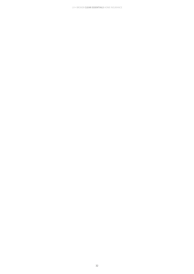LV= BROKER **CLEAR ESSENTIALS** HOME INSURANCE